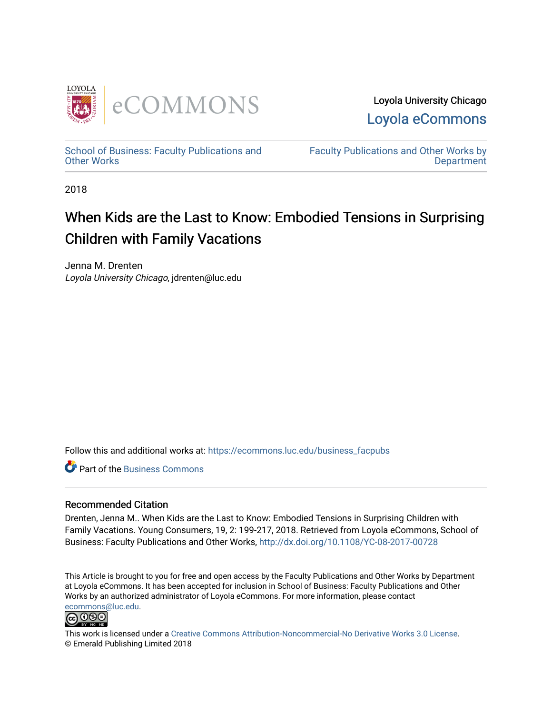

Loyola University Chicago [Loyola eCommons](https://ecommons.luc.edu/) 

[School of Business: Faculty Publications and](https://ecommons.luc.edu/business_facpubs) [Other Works](https://ecommons.luc.edu/business_facpubs)

[Faculty Publications and Other Works by](https://ecommons.luc.edu/faculty)  **Department** 

2018

# When Kids are the Last to Know: Embodied Tensions in Surprising Children with Family Vacations

Jenna M. Drenten Loyola University Chicago, jdrenten@luc.edu

Follow this and additional works at: [https://ecommons.luc.edu/business\\_facpubs](https://ecommons.luc.edu/business_facpubs?utm_source=ecommons.luc.edu%2Fbusiness_facpubs%2F158&utm_medium=PDF&utm_campaign=PDFCoverPages) 

**C** Part of the [Business Commons](http://network.bepress.com/hgg/discipline/622?utm_source=ecommons.luc.edu%2Fbusiness_facpubs%2F158&utm_medium=PDF&utm_campaign=PDFCoverPages)

# Recommended Citation

Drenten, Jenna M.. When Kids are the Last to Know: Embodied Tensions in Surprising Children with Family Vacations. Young Consumers, 19, 2: 199-217, 2018. Retrieved from Loyola eCommons, School of Business: Faculty Publications and Other Works, <http://dx.doi.org/10.1108/YC-08-2017-00728>

This Article is brought to you for free and open access by the Faculty Publications and Other Works by Department at Loyola eCommons. It has been accepted for inclusion in School of Business: Faculty Publications and Other Works by an authorized administrator of Loyola eCommons. For more information, please contact [ecommons@luc.edu](mailto:ecommons@luc.edu).



This work is licensed under a [Creative Commons Attribution-Noncommercial-No Derivative Works 3.0 License.](https://creativecommons.org/licenses/by-nc-nd/3.0/) © Emerald Publishing Limited 2018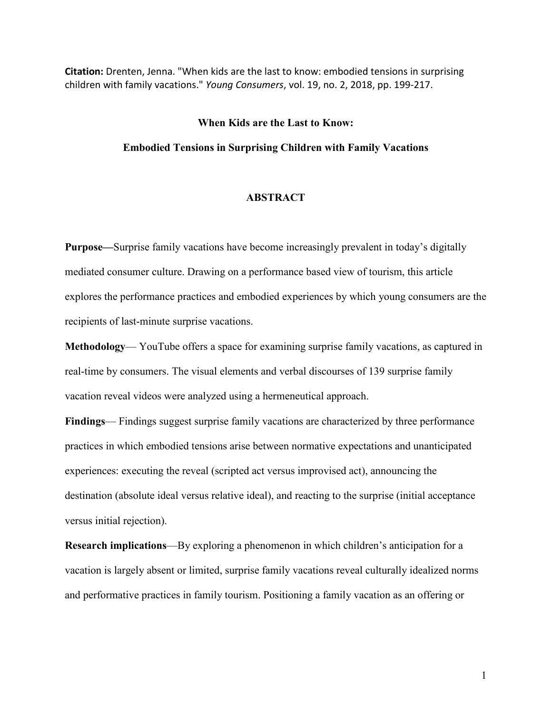**Citation:** Drenten, Jenna. "When kids are the last to know: embodied tensions in surprising children with family vacations." *Young Consumers*, vol. 19, no. 2, 2018, pp. 199-217.

# **When Kids are the Last to Know:**

# **Embodied Tensions in Surprising Children with Family Vacations**

## **ABSTRACT**

**Purpose—**Surprise family vacations have become increasingly prevalent in today's digitally mediated consumer culture. Drawing on a performance based view of tourism, this article explores the performance practices and embodied experiences by which young consumers are the recipients of last-minute surprise vacations.

**Methodology**— YouTube offers a space for examining surprise family vacations, as captured in real-time by consumers. The visual elements and verbal discourses of 139 surprise family vacation reveal videos were analyzed using a hermeneutical approach.

**Findings**— Findings suggest surprise family vacations are characterized by three performance practices in which embodied tensions arise between normative expectations and unanticipated experiences: executing the reveal (scripted act versus improvised act), announcing the destination (absolute ideal versus relative ideal), and reacting to the surprise (initial acceptance versus initial rejection).

**Research implications**—By exploring a phenomenon in which children's anticipation for a vacation is largely absent or limited, surprise family vacations reveal culturally idealized norms and performative practices in family tourism. Positioning a family vacation as an offering or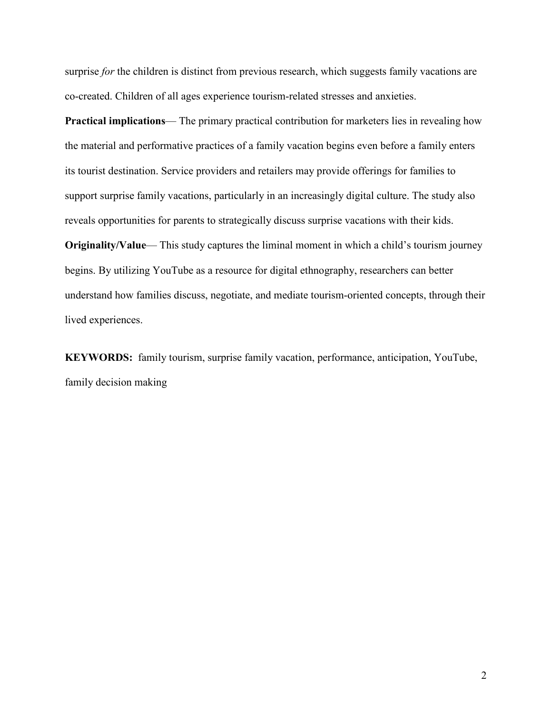surprise *for* the children is distinct from previous research, which suggests family vacations are co-created. Children of all ages experience tourism-related stresses and anxieties.

**Practical implications**— The primary practical contribution for marketers lies in revealing how the material and performative practices of a family vacation begins even before a family enters its tourist destination. Service providers and retailers may provide offerings for families to support surprise family vacations, particularly in an increasingly digital culture. The study also reveals opportunities for parents to strategically discuss surprise vacations with their kids.

**Originality/Value—** This study captures the liminal moment in which a child's tourism journey begins. By utilizing YouTube as a resource for digital ethnography, researchers can better understand how families discuss, negotiate, and mediate tourism-oriented concepts, through their lived experiences.

**KEYWORDS:** family tourism, surprise family vacation, performance, anticipation, YouTube, family decision making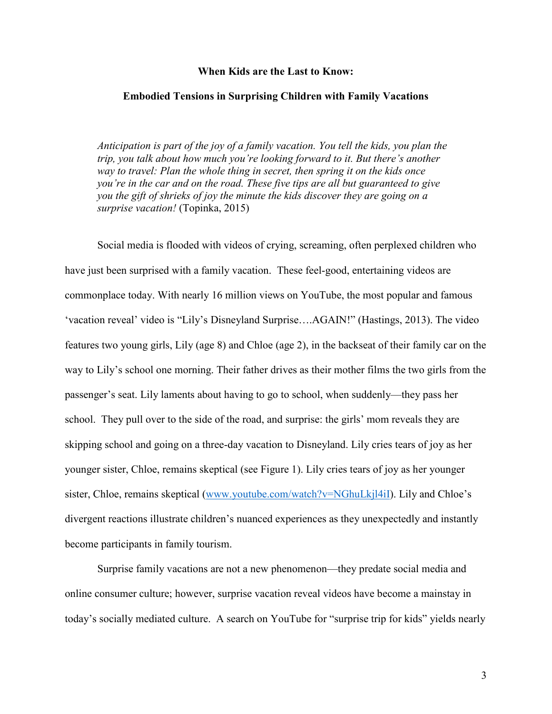#### **When Kids are the Last to Know:**

#### **Embodied Tensions in Surprising Children with Family Vacations**

*Anticipation is part of the joy of a family vacation. You tell the kids, you plan the trip, you talk about how much you're looking forward to it. But there's another way to travel: Plan the whole thing in secret, then spring it on the kids once you're in the car and on the road. These five tips are all but guaranteed to give you the gift of shrieks of joy the minute the kids discover they are going on a surprise vacation!* (Topinka, 2015)

Social media is flooded with videos of crying, screaming, often perplexed children who have just been surprised with a family vacation. These feel-good, entertaining videos are commonplace today. With nearly 16 million views on YouTube, the most popular and famous 'vacation reveal' video is "Lily's Disneyland Surprise….AGAIN!" (Hastings, 2013). The video features two young girls, Lily (age 8) and Chloe (age 2), in the backseat of their family car on the way to Lily's school one morning. Their father drives as their mother films the two girls from the passenger's seat. Lily laments about having to go to school, when suddenly—they pass her school. They pull over to the side of the road, and surprise: the girls' mom reveals they are skipping school and going on a three-day vacation to Disneyland. Lily cries tears of joy as her younger sister, Chloe, remains skeptical (see Figure 1). Lily cries tears of joy as her younger sister, Chloe, remains skeptical [\(www.youtube.com/watch?v=NGhuLkjl4iI\)](http://www.youtube.com/watch?v=NGhuLkjl4iI). Lily and Chloe's divergent reactions illustrate children's nuanced experiences as they unexpectedly and instantly become participants in family tourism.

Surprise family vacations are not a new phenomenon—they predate social media and online consumer culture; however, surprise vacation reveal videos have become a mainstay in today's socially mediated culture. A search on YouTube for "surprise trip for kids" yields nearly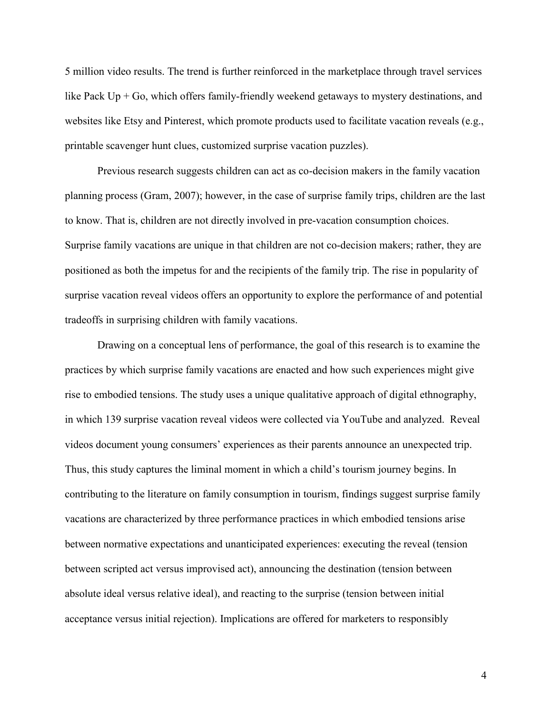5 million video results. The trend is further reinforced in the marketplace through travel services like Pack  $Up + Go$ , which offers family-friendly weekend getaways to mystery destinations, and websites like Etsy and Pinterest, which promote products used to facilitate vacation reveals (e.g., printable scavenger hunt clues, customized surprise vacation puzzles).

Previous research suggests children can act as co-decision makers in the family vacation planning process (Gram, 2007); however, in the case of surprise family trips, children are the last to know. That is, children are not directly involved in pre-vacation consumption choices. Surprise family vacations are unique in that children are not co-decision makers; rather, they are positioned as both the impetus for and the recipients of the family trip. The rise in popularity of surprise vacation reveal videos offers an opportunity to explore the performance of and potential tradeoffs in surprising children with family vacations.

Drawing on a conceptual lens of performance, the goal of this research is to examine the practices by which surprise family vacations are enacted and how such experiences might give rise to embodied tensions. The study uses a unique qualitative approach of digital ethnography, in which 139 surprise vacation reveal videos were collected via YouTube and analyzed. Reveal videos document young consumers' experiences as their parents announce an unexpected trip. Thus, this study captures the liminal moment in which a child's tourism journey begins. In contributing to the literature on family consumption in tourism, findings suggest surprise family vacations are characterized by three performance practices in which embodied tensions arise between normative expectations and unanticipated experiences: executing the reveal (tension between scripted act versus improvised act), announcing the destination (tension between absolute ideal versus relative ideal), and reacting to the surprise (tension between initial acceptance versus initial rejection). Implications are offered for marketers to responsibly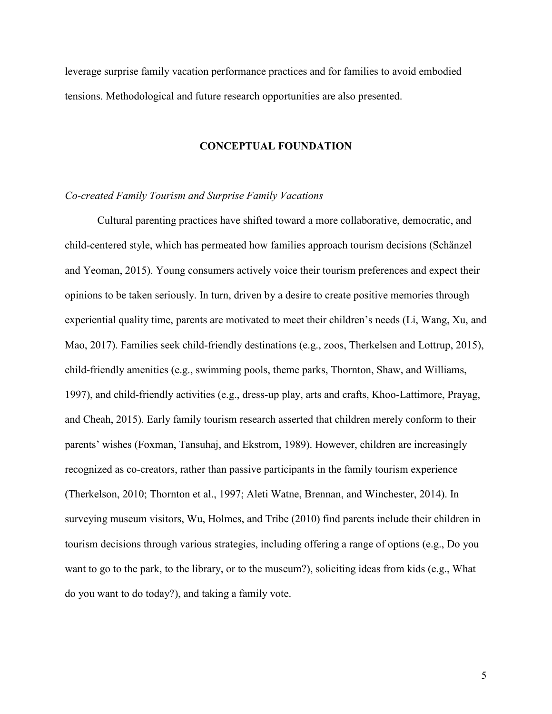leverage surprise family vacation performance practices and for families to avoid embodied tensions. Methodological and future research opportunities are also presented.

#### **CONCEPTUAL FOUNDATION**

#### *Co-created Family Tourism and Surprise Family Vacations*

Cultural parenting practices have shifted toward a more collaborative, democratic, and child-centered style, which has permeated how families approach tourism decisions (Schänzel and Yeoman, 2015). Young consumers actively voice their tourism preferences and expect their opinions to be taken seriously. In turn, driven by a desire to create positive memories through experiential quality time, parents are motivated to meet their children's needs (Li, Wang, Xu, and Mao, 2017). Families seek child-friendly destinations (e.g., zoos, Therkelsen and Lottrup, 2015), child-friendly amenities (e.g., swimming pools, theme parks, Thornton, Shaw, and Williams, 1997), and child-friendly activities (e.g., dress-up play, arts and crafts, Khoo-Lattimore, Prayag, and Cheah, 2015). Early family tourism research asserted that children merely conform to their parents' wishes (Foxman, Tansuhaj, and Ekstrom, 1989). However, children are increasingly recognized as co-creators, rather than passive participants in the family tourism experience (Therkelson, 2010; Thornton et al., 1997; Aleti Watne, Brennan, and Winchester, 2014). In surveying museum visitors, Wu, Holmes, and Tribe (2010) find parents include their children in tourism decisions through various strategies, including offering a range of options (e.g., Do you want to go to the park, to the library, or to the museum?), soliciting ideas from kids (e.g., What do you want to do today?), and taking a family vote.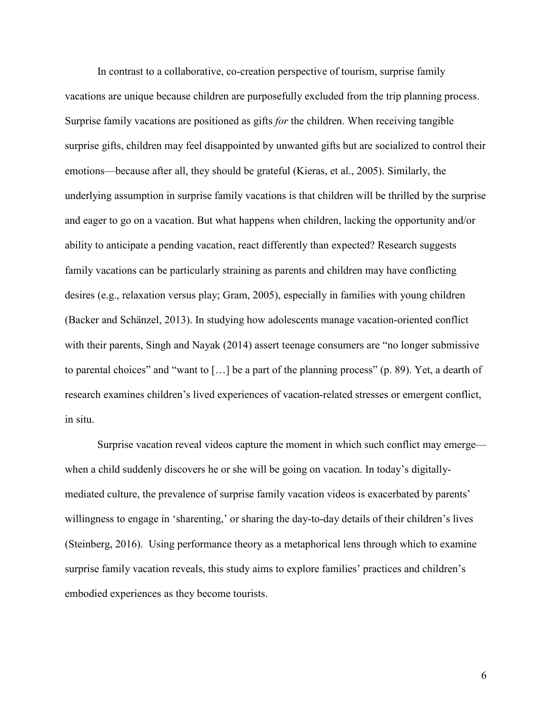In contrast to a collaborative, co-creation perspective of tourism, surprise family vacations are unique because children are purposefully excluded from the trip planning process. Surprise family vacations are positioned as gifts *for* the children. When receiving tangible surprise gifts, children may feel disappointed by unwanted gifts but are socialized to control their emotions—because after all, they should be grateful (Kieras, et al., 2005). Similarly, the underlying assumption in surprise family vacations is that children will be thrilled by the surprise and eager to go on a vacation. But what happens when children, lacking the opportunity and/or ability to anticipate a pending vacation, react differently than expected? Research suggests family vacations can be particularly straining as parents and children may have conflicting desires (e.g., relaxation versus play; Gram, 2005), especially in families with young children (Backer and Schänzel, 2013). In studying how adolescents manage vacation-oriented conflict with their parents, Singh and Nayak (2014) assert teenage consumers are "no longer submissive to parental choices" and "want to […] be a part of the planning process" (p. 89). Yet, a dearth of research examines children's lived experiences of vacation-related stresses or emergent conflict, in situ.

Surprise vacation reveal videos capture the moment in which such conflict may emerge when a child suddenly discovers he or she will be going on vacation. In today's digitallymediated culture, the prevalence of surprise family vacation videos is exacerbated by parents' willingness to engage in 'sharenting,' or sharing the day-to-day details of their children's lives (Steinberg, 2016). Using performance theory as a metaphorical lens through which to examine surprise family vacation reveals, this study aims to explore families' practices and children's embodied experiences as they become tourists.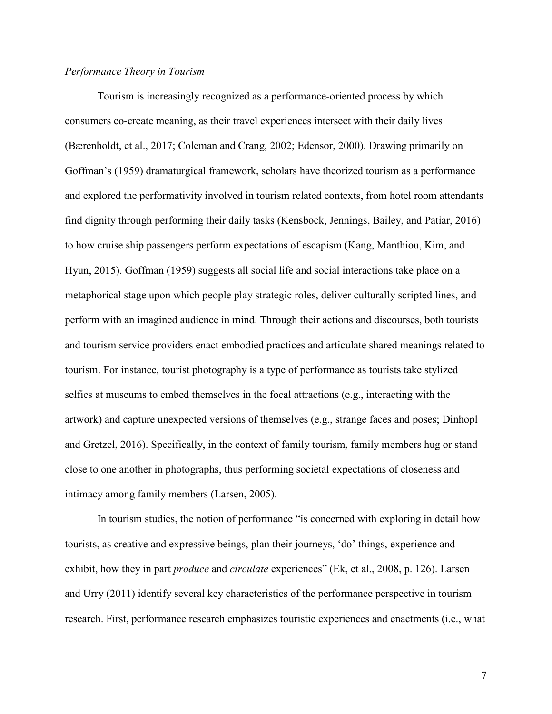# *Performance Theory in Tourism*

Tourism is increasingly recognized as a performance-oriented process by which consumers co-create meaning, as their travel experiences intersect with their daily lives (Bærenholdt, et al., 2017; Coleman and Crang, 2002; Edensor, 2000). Drawing primarily on Goffman's (1959) dramaturgical framework, scholars have theorized tourism as a performance and explored the performativity involved in tourism related contexts, from hotel room attendants find dignity through performing their daily tasks (Kensbock, Jennings, Bailey, and Patiar, 2016) to how cruise ship passengers perform expectations of escapism (Kang, Manthiou, Kim, and Hyun, 2015). Goffman (1959) suggests all social life and social interactions take place on a metaphorical stage upon which people play strategic roles, deliver culturally scripted lines, and perform with an imagined audience in mind. Through their actions and discourses, both tourists and tourism service providers enact embodied practices and articulate shared meanings related to tourism. For instance, tourist photography is a type of performance as tourists take stylized selfies at museums to embed themselves in the focal attractions (e.g., interacting with the artwork) and capture unexpected versions of themselves (e.g., strange faces and poses; Dinhopl and Gretzel, 2016). Specifically, in the context of family tourism, family members hug or stand close to one another in photographs, thus performing societal expectations of closeness and intimacy among family members (Larsen, 2005).

In tourism studies, the notion of performance "is concerned with exploring in detail how tourists, as creative and expressive beings, plan their journeys, 'do' things, experience and exhibit, how they in part *produce* and *circulate* experiences" (Ek, et al., 2008, p. 126). Larsen and Urry (2011) identify several key characteristics of the performance perspective in tourism research. First, performance research emphasizes touristic experiences and enactments (i.e., what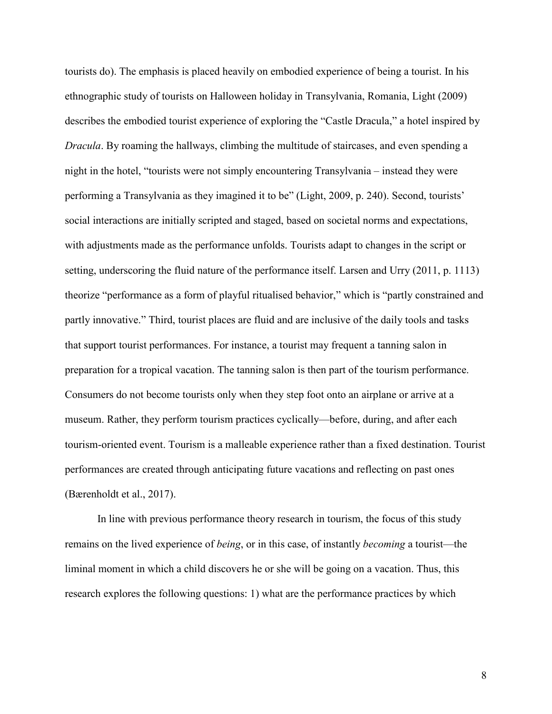tourists do). The emphasis is placed heavily on embodied experience of being a tourist. In his ethnographic study of tourists on Halloween holiday in Transylvania, Romania, Light (2009) describes the embodied tourist experience of exploring the "Castle Dracula," a hotel inspired by *Dracula*. By roaming the hallways, climbing the multitude of staircases, and even spending a night in the hotel, "tourists were not simply encountering Transylvania – instead they were performing a Transylvania as they imagined it to be" (Light, 2009, p. 240). Second, tourists' social interactions are initially scripted and staged, based on societal norms and expectations, with adjustments made as the performance unfolds. Tourists adapt to changes in the script or setting, underscoring the fluid nature of the performance itself. Larsen and Urry (2011, p. 1113) theorize "performance as a form of playful ritualised behavior," which is "partly constrained and partly innovative." Third, tourist places are fluid and are inclusive of the daily tools and tasks that support tourist performances. For instance, a tourist may frequent a tanning salon in preparation for a tropical vacation. The tanning salon is then part of the tourism performance. Consumers do not become tourists only when they step foot onto an airplane or arrive at a museum. Rather, they perform tourism practices cyclically—before, during, and after each tourism-oriented event. Tourism is a malleable experience rather than a fixed destination. Tourist performances are created through anticipating future vacations and reflecting on past ones (Bærenholdt et al., 2017).

In line with previous performance theory research in tourism, the focus of this study remains on the lived experience of *being*, or in this case, of instantly *becoming* a tourist—the liminal moment in which a child discovers he or she will be going on a vacation. Thus, this research explores the following questions: 1) what are the performance practices by which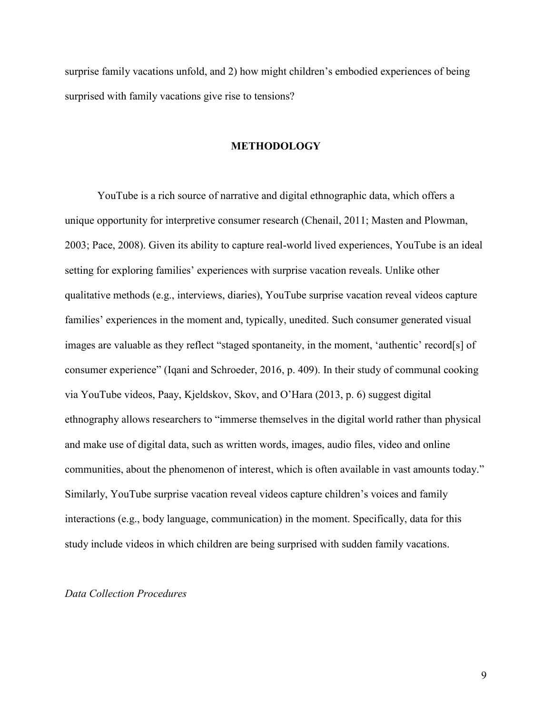surprise family vacations unfold, and 2) how might children's embodied experiences of being surprised with family vacations give rise to tensions?

#### **METHODOLOGY**

YouTube is a rich source of narrative and digital ethnographic data, which offers a unique opportunity for interpretive consumer research (Chenail, 2011; Masten and Plowman, 2003; Pace, 2008). Given its ability to capture real-world lived experiences, YouTube is an ideal setting for exploring families' experiences with surprise vacation reveals. Unlike other qualitative methods (e.g., interviews, diaries), YouTube surprise vacation reveal videos capture families' experiences in the moment and, typically, unedited. Such consumer generated visual images are valuable as they reflect "staged spontaneity, in the moment, 'authentic' record[s] of consumer experience" (Iqani and Schroeder, 2016, p. 409). In their study of communal cooking via YouTube videos, Paay, Kjeldskov, Skov, and O'Hara (2013, p. 6) suggest digital ethnography allows researchers to "immerse themselves in the digital world rather than physical and make use of digital data, such as written words, images, audio files, video and online communities, about the phenomenon of interest, which is often available in vast amounts today." Similarly, YouTube surprise vacation reveal videos capture children's voices and family interactions (e.g., body language, communication) in the moment. Specifically, data for this study include videos in which children are being surprised with sudden family vacations.

#### *Data Collection Procedures*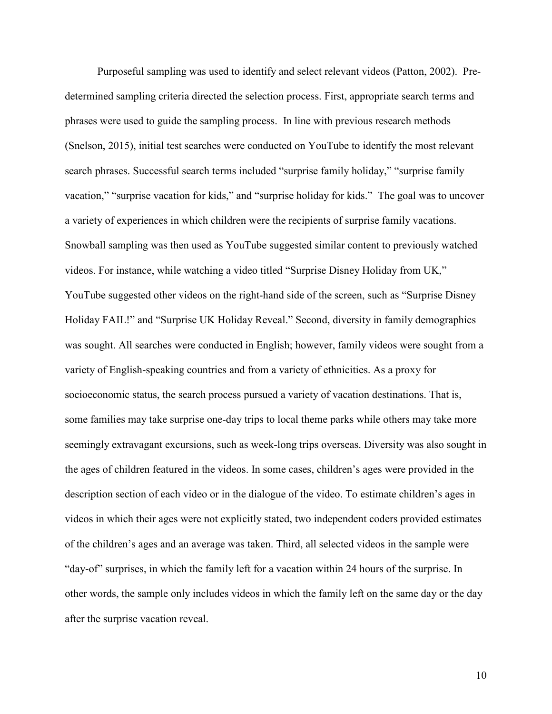Purposeful sampling was used to identify and select relevant videos (Patton, 2002). Predetermined sampling criteria directed the selection process. First, appropriate search terms and phrases were used to guide the sampling process. In line with previous research methods (Snelson, 2015), initial test searches were conducted on YouTube to identify the most relevant search phrases. Successful search terms included "surprise family holiday," "surprise family vacation," "surprise vacation for kids," and "surprise holiday for kids." The goal was to uncover a variety of experiences in which children were the recipients of surprise family vacations. Snowball sampling was then used as YouTube suggested similar content to previously watched videos. For instance, while watching a video titled "Surprise Disney Holiday from UK," YouTube suggested other videos on the right-hand side of the screen, such as "Surprise Disney Holiday FAIL!" and "Surprise UK Holiday Reveal." Second, diversity in family demographics was sought. All searches were conducted in English; however, family videos were sought from a variety of English-speaking countries and from a variety of ethnicities. As a proxy for socioeconomic status, the search process pursued a variety of vacation destinations. That is, some families may take surprise one-day trips to local theme parks while others may take more seemingly extravagant excursions, such as week-long trips overseas. Diversity was also sought in the ages of children featured in the videos. In some cases, children's ages were provided in the description section of each video or in the dialogue of the video. To estimate children's ages in videos in which their ages were not explicitly stated, two independent coders provided estimates of the children's ages and an average was taken. Third, all selected videos in the sample were "day-of" surprises, in which the family left for a vacation within 24 hours of the surprise. In other words, the sample only includes videos in which the family left on the same day or the day after the surprise vacation reveal.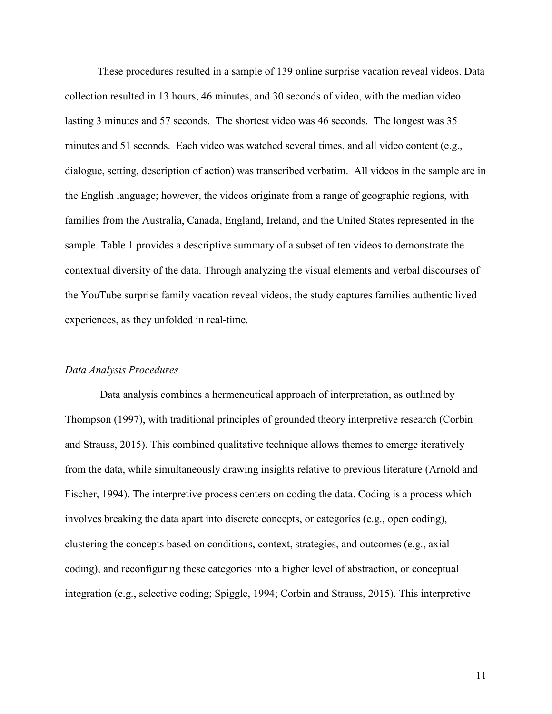These procedures resulted in a sample of 139 online surprise vacation reveal videos. Data collection resulted in 13 hours, 46 minutes, and 30 seconds of video, with the median video lasting 3 minutes and 57 seconds. The shortest video was 46 seconds. The longest was 35 minutes and 51 seconds. Each video was watched several times, and all video content (e.g., dialogue, setting, description of action) was transcribed verbatim. All videos in the sample are in the English language; however, the videos originate from a range of geographic regions, with families from the Australia, Canada, England, Ireland, and the United States represented in the sample. Table 1 provides a descriptive summary of a subset of ten videos to demonstrate the contextual diversity of the data. Through analyzing the visual elements and verbal discourses of the YouTube surprise family vacation reveal videos, the study captures families authentic lived experiences, as they unfolded in real-time.

### *Data Analysis Procedures*

Data analysis combines a hermeneutical approach of interpretation, as outlined by Thompson (1997), with traditional principles of grounded theory interpretive research (Corbin and Strauss, 2015). This combined qualitative technique allows themes to emerge iteratively from the data, while simultaneously drawing insights relative to previous literature (Arnold and Fischer, 1994). The interpretive process centers on coding the data. Coding is a process which involves breaking the data apart into discrete concepts, or categories (e.g., open coding), clustering the concepts based on conditions, context, strategies, and outcomes (e.g., axial coding), and reconfiguring these categories into a higher level of abstraction, or conceptual integration (e.g., selective coding; Spiggle, 1994; Corbin and Strauss, 2015). This interpretive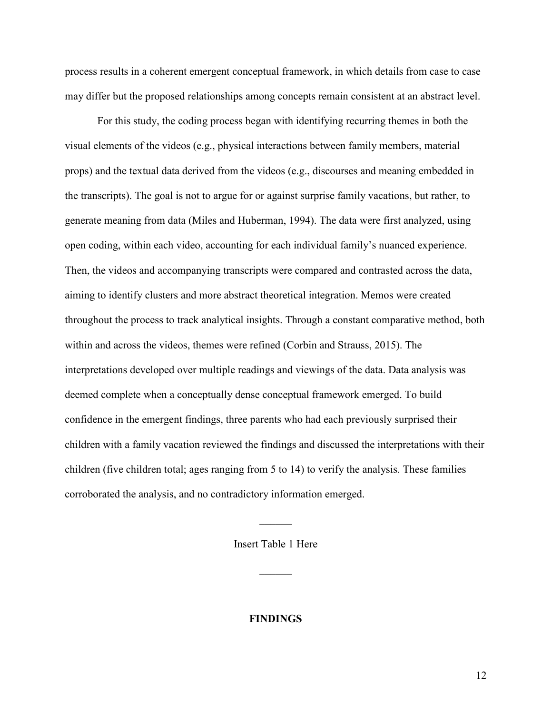process results in a coherent emergent conceptual framework, in which details from case to case may differ but the proposed relationships among concepts remain consistent at an abstract level.

For this study, the coding process began with identifying recurring themes in both the visual elements of the videos (e.g., physical interactions between family members, material props) and the textual data derived from the videos (e.g., discourses and meaning embedded in the transcripts). The goal is not to argue for or against surprise family vacations, but rather, to generate meaning from data (Miles and Huberman, 1994). The data were first analyzed, using open coding, within each video, accounting for each individual family's nuanced experience. Then, the videos and accompanying transcripts were compared and contrasted across the data, aiming to identify clusters and more abstract theoretical integration. Memos were created throughout the process to track analytical insights. Through a constant comparative method, both within and across the videos, themes were refined (Corbin and Strauss, 2015). The interpretations developed over multiple readings and viewings of the data. Data analysis was deemed complete when a conceptually dense conceptual framework emerged. To build confidence in the emergent findings, three parents who had each previously surprised their children with a family vacation reviewed the findings and discussed the interpretations with their children (five children total; ages ranging from 5 to 14) to verify the analysis. These families corroborated the analysis, and no contradictory information emerged.

Insert Table 1 Here

 $\frac{1}{2}$ 

**FINDINGS**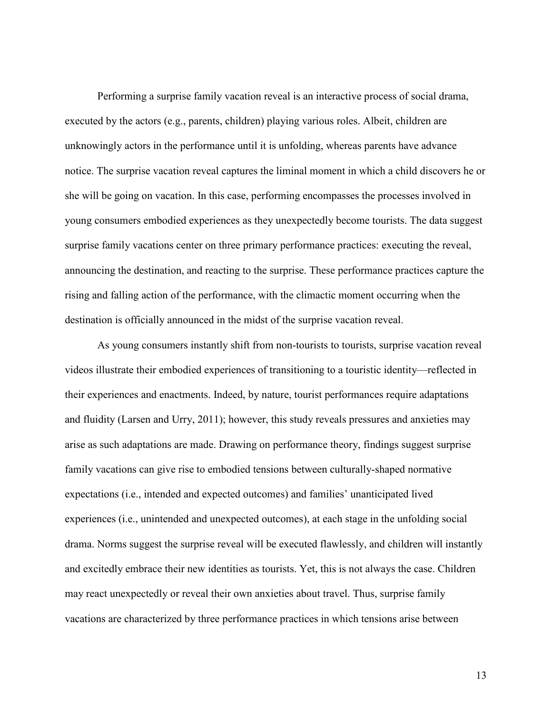Performing a surprise family vacation reveal is an interactive process of social drama, executed by the actors (e.g., parents, children) playing various roles. Albeit, children are unknowingly actors in the performance until it is unfolding, whereas parents have advance notice. The surprise vacation reveal captures the liminal moment in which a child discovers he or she will be going on vacation. In this case, performing encompasses the processes involved in young consumers embodied experiences as they unexpectedly become tourists. The data suggest surprise family vacations center on three primary performance practices: executing the reveal, announcing the destination, and reacting to the surprise. These performance practices capture the rising and falling action of the performance, with the climactic moment occurring when the destination is officially announced in the midst of the surprise vacation reveal.

As young consumers instantly shift from non-tourists to tourists, surprise vacation reveal videos illustrate their embodied experiences of transitioning to a touristic identity—reflected in their experiences and enactments. Indeed, by nature, tourist performances require adaptations and fluidity (Larsen and Urry, 2011); however, this study reveals pressures and anxieties may arise as such adaptations are made. Drawing on performance theory, findings suggest surprise family vacations can give rise to embodied tensions between culturally-shaped normative expectations (i.e., intended and expected outcomes) and families' unanticipated lived experiences (i.e., unintended and unexpected outcomes), at each stage in the unfolding social drama. Norms suggest the surprise reveal will be executed flawlessly, and children will instantly and excitedly embrace their new identities as tourists. Yet, this is not always the case. Children may react unexpectedly or reveal their own anxieties about travel. Thus, surprise family vacations are characterized by three performance practices in which tensions arise between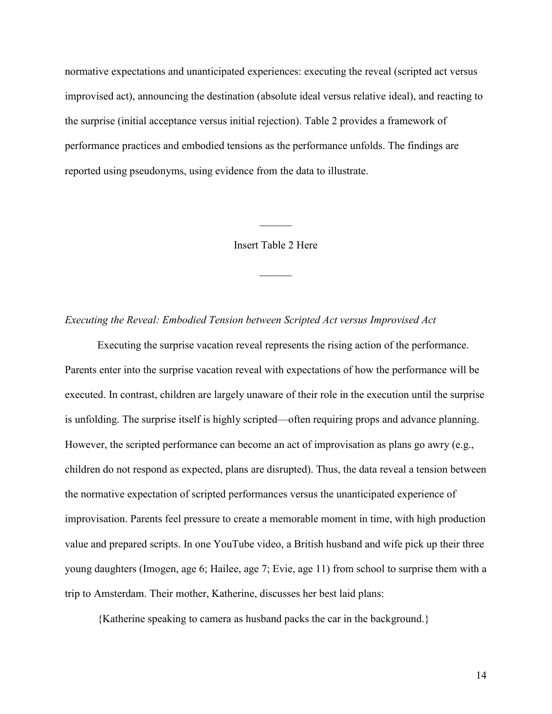normative expectations and unanticipated experiences: executing the reveal (scripted act versus improvised act), announcing the destination (absolute ideal versus relative ideal), and reacting to the surprise (initial acceptance versus initial rejection). Table 2 provides a framework of performance practices and embodied tensions as the performance unfolds. The findings are reported using pseudonyms, using evidence from the data to illustrate.

Insert Table 2 Here

 $\frac{1}{2}$ 

 $\frac{1}{2}$ 

*Executing the Reveal: Embodied Tension between Scripted Act versus Improvised Act*

Executing the surprise vacation reveal represents the rising action of the performance. Parents enter into the surprise vacation reveal with expectations of how the performance will be executed. In contrast, children are largely unaware of their role in the execution until the surprise is unfolding. The surprise itself is highly scripted—often requiring props and advance planning. However, the scripted performance can become an act of improvisation as plans go awry (e.g., children do not respond as expected, plans are disrupted). Thus, the data reveal a tension between the normative expectation of scripted performances versus the unanticipated experience of improvisation. Parents feel pressure to create a memorable moment in time, with high production value and prepared scripts. In one YouTube video, a British husband and wife pick up their three young daughters (Imogen, age 6; Hailee, age 7; Evie, age 11) from school to surprise them with a trip to Amsterdam. Their mother, Katherine, discusses her best laid plans:

{Katherine speaking to camera as husband packs the car in the background.}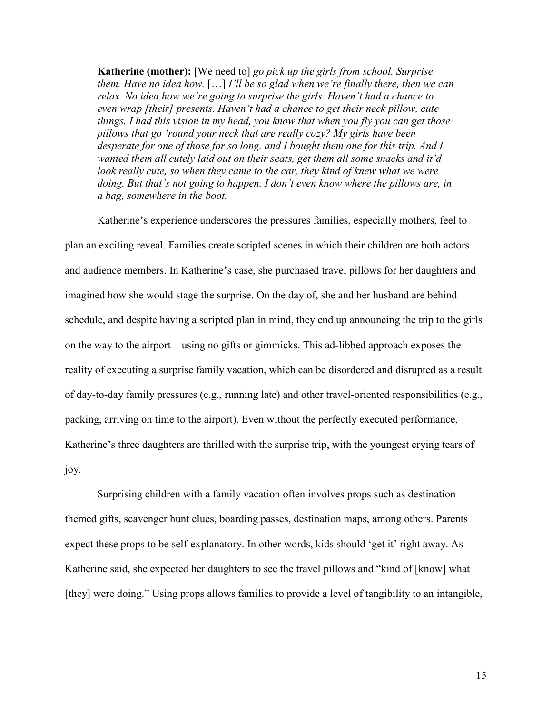**Katherine (mother):** [We need to] *go pick up the girls from school. Surprise them. Have no idea how.* […] *I'll be so glad when we're finally there, then we can relax. No idea how we're going to surprise the girls. Haven't had a chance to even wrap [their] presents. Haven't had a chance to get their neck pillow, cute things. I had this vision in my head, you know that when you fly you can get those pillows that go 'round your neck that are really cozy? My girls have been desperate for one of those for so long, and I bought them one for this trip. And I wanted them all cutely laid out on their seats, get them all some snacks and it'd look really cute, so when they came to the car, they kind of knew what we were doing. But that's not going to happen. I don't even know where the pillows are, in a bag, somewhere in the boot.*

Katherine's experience underscores the pressures families, especially mothers, feel to plan an exciting reveal. Families create scripted scenes in which their children are both actors and audience members. In Katherine's case, she purchased travel pillows for her daughters and imagined how she would stage the surprise. On the day of, she and her husband are behind schedule, and despite having a scripted plan in mind, they end up announcing the trip to the girls on the way to the airport—using no gifts or gimmicks. This ad-libbed approach exposes the reality of executing a surprise family vacation, which can be disordered and disrupted as a result of day-to-day family pressures (e.g., running late) and other travel-oriented responsibilities (e.g., packing, arriving on time to the airport). Even without the perfectly executed performance, Katherine's three daughters are thrilled with the surprise trip, with the youngest crying tears of joy.

Surprising children with a family vacation often involves props such as destination themed gifts, scavenger hunt clues, boarding passes, destination maps, among others. Parents expect these props to be self-explanatory. In other words, kids should 'get it' right away. As Katherine said, she expected her daughters to see the travel pillows and "kind of [know] what [they] were doing." Using props allows families to provide a level of tangibility to an intangible,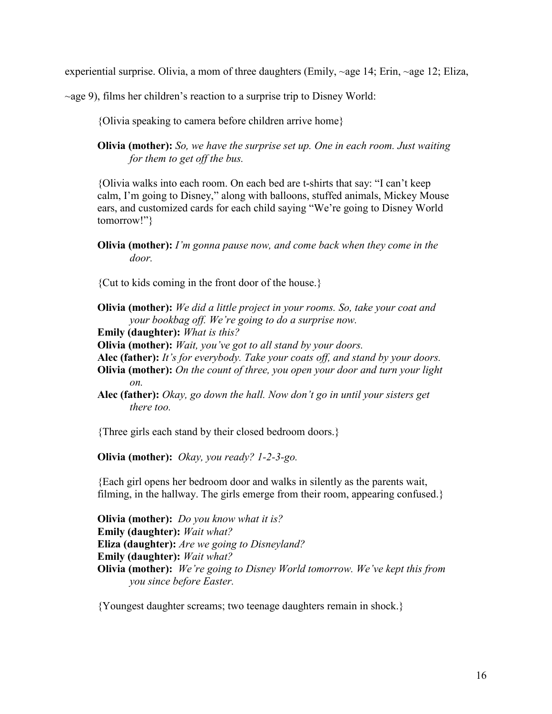experiential surprise. Olivia, a mom of three daughters (Emily, ~age 14; Erin, ~age 12; Eliza,

 $\sim$ age 9), films her children's reaction to a surprise trip to Disney World:

{Olivia speaking to camera before children arrive home}

**Olivia (mother):** *So, we have the surprise set up. One in each room. Just waiting for them to get off the bus.*

{Olivia walks into each room. On each bed are t-shirts that say: "I can't keep calm, I'm going to Disney," along with balloons, stuffed animals, Mickey Mouse ears, and customized cards for each child saying "We're going to Disney World tomorrow!"}

**Olivia (mother):** *I'm gonna pause now, and come back when they come in the door.*

{Cut to kids coming in the front door of the house.}

**Olivia (mother):** *We did a little project in your rooms. So, take your coat and your bookbag off. We're going to do a surprise now.*

**Emily (daughter):** *What is this?*

**Olivia (mother):** *Wait, you've got to all stand by your doors.* 

**Alec (father):** *It's for everybody. Take your coats off, and stand by your doors.*

**Olivia (mother):** *On the count of three, you open your door and turn your light on.*

**Alec (father):** *Okay, go down the hall. Now don't go in until your sisters get there too.*

{Three girls each stand by their closed bedroom doors.}

**Olivia (mother):** *Okay, you ready? 1-2-3-go.*

{Each girl opens her bedroom door and walks in silently as the parents wait, filming, in the hallway. The girls emerge from their room, appearing confused.}

**Olivia (mother):** *Do you know what it is?* **Emily (daughter):** *Wait what?* **Eliza (daughter):** *Are we going to Disneyland?* **Emily (daughter):** *Wait what?* **Olivia (mother):** *We're going to Disney World tomorrow. We've kept this from you since before Easter.*

{Youngest daughter screams; two teenage daughters remain in shock.}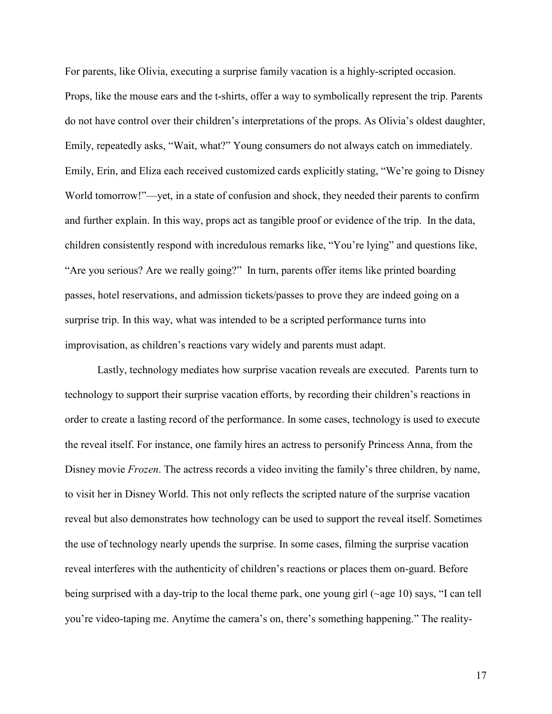For parents, like Olivia, executing a surprise family vacation is a highly-scripted occasion. Props, like the mouse ears and the t-shirts, offer a way to symbolically represent the trip. Parents do not have control over their children's interpretations of the props. As Olivia's oldest daughter, Emily, repeatedly asks, "Wait, what?" Young consumers do not always catch on immediately. Emily, Erin, and Eliza each received customized cards explicitly stating, "We're going to Disney World tomorrow!"—yet, in a state of confusion and shock, they needed their parents to confirm and further explain. In this way, props act as tangible proof or evidence of the trip. In the data, children consistently respond with incredulous remarks like, "You're lying" and questions like, "Are you serious? Are we really going?" In turn, parents offer items like printed boarding passes, hotel reservations, and admission tickets/passes to prove they are indeed going on a surprise trip. In this way, what was intended to be a scripted performance turns into improvisation, as children's reactions vary widely and parents must adapt.

Lastly, technology mediates how surprise vacation reveals are executed. Parents turn to technology to support their surprise vacation efforts, by recording their children's reactions in order to create a lasting record of the performance. In some cases, technology is used to execute the reveal itself. For instance, one family hires an actress to personify Princess Anna, from the Disney movie *Frozen*. The actress records a video inviting the family's three children, by name, to visit her in Disney World. This not only reflects the scripted nature of the surprise vacation reveal but also demonstrates how technology can be used to support the reveal itself. Sometimes the use of technology nearly upends the surprise. In some cases, filming the surprise vacation reveal interferes with the authenticity of children's reactions or places them on-guard. Before being surprised with a day-trip to the local theme park, one young girl (~age 10) says, "I can tell you're video-taping me. Anytime the camera's on, there's something happening." The reality-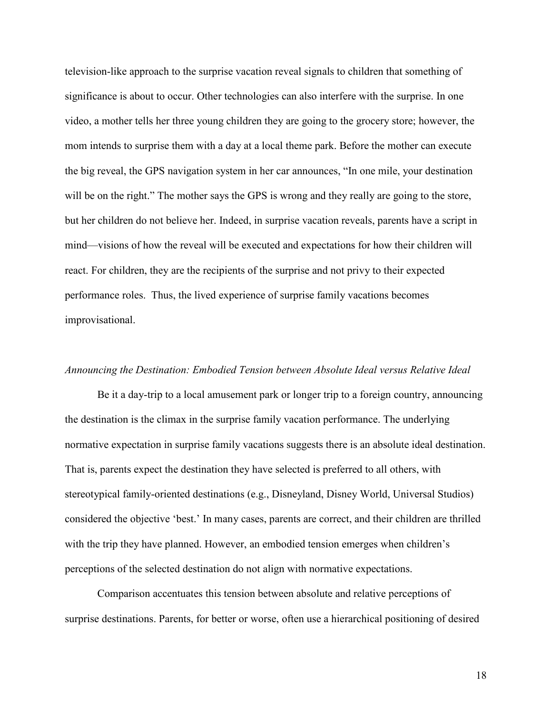television-like approach to the surprise vacation reveal signals to children that something of significance is about to occur. Other technologies can also interfere with the surprise. In one video, a mother tells her three young children they are going to the grocery store; however, the mom intends to surprise them with a day at a local theme park. Before the mother can execute the big reveal, the GPS navigation system in her car announces, "In one mile, your destination will be on the right." The mother says the GPS is wrong and they really are going to the store, but her children do not believe her. Indeed, in surprise vacation reveals, parents have a script in mind—visions of how the reveal will be executed and expectations for how their children will react. For children, they are the recipients of the surprise and not privy to their expected performance roles. Thus, the lived experience of surprise family vacations becomes improvisational.

### *Announcing the Destination: Embodied Tension between Absolute Ideal versus Relative Ideal*

Be it a day-trip to a local amusement park or longer trip to a foreign country, announcing the destination is the climax in the surprise family vacation performance. The underlying normative expectation in surprise family vacations suggests there is an absolute ideal destination. That is, parents expect the destination they have selected is preferred to all others, with stereotypical family-oriented destinations (e.g., Disneyland, Disney World, Universal Studios) considered the objective 'best.' In many cases, parents are correct, and their children are thrilled with the trip they have planned. However, an embodied tension emerges when children's perceptions of the selected destination do not align with normative expectations.

Comparison accentuates this tension between absolute and relative perceptions of surprise destinations. Parents, for better or worse, often use a hierarchical positioning of desired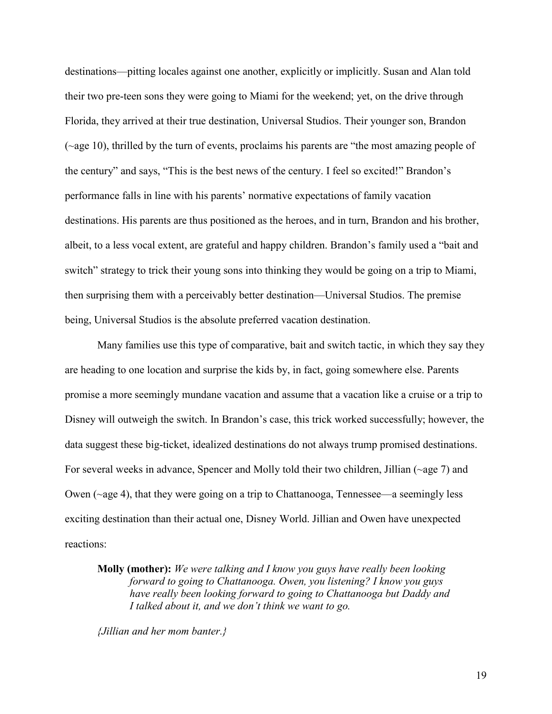destinations—pitting locales against one another, explicitly or implicitly. Susan and Alan told their two pre-teen sons they were going to Miami for the weekend; yet, on the drive through Florida, they arrived at their true destination, Universal Studios. Their younger son, Brandon (~age 10), thrilled by the turn of events, proclaims his parents are "the most amazing people of the century" and says, "This is the best news of the century. I feel so excited!" Brandon's performance falls in line with his parents' normative expectations of family vacation destinations. His parents are thus positioned as the heroes, and in turn, Brandon and his brother, albeit, to a less vocal extent, are grateful and happy children. Brandon's family used a "bait and switch" strategy to trick their young sons into thinking they would be going on a trip to Miami, then surprising them with a perceivably better destination—Universal Studios. The premise being, Universal Studios is the absolute preferred vacation destination.

Many families use this type of comparative, bait and switch tactic, in which they say they are heading to one location and surprise the kids by, in fact, going somewhere else. Parents promise a more seemingly mundane vacation and assume that a vacation like a cruise or a trip to Disney will outweigh the switch. In Brandon's case, this trick worked successfully; however, the data suggest these big-ticket, idealized destinations do not always trump promised destinations. For several weeks in advance, Spencer and Molly told their two children, Jillian (~age 7) and Owen (~age 4), that they were going on a trip to Chattanooga, Tennessee—a seemingly less exciting destination than their actual one, Disney World. Jillian and Owen have unexpected reactions:

**Molly (mother):** *We were talking and I know you guys have really been looking forward to going to Chattanooga. Owen, you listening? I know you guys have really been looking forward to going to Chattanooga but Daddy and I talked about it, and we don't think we want to go.*

*{Jillian and her mom banter.}*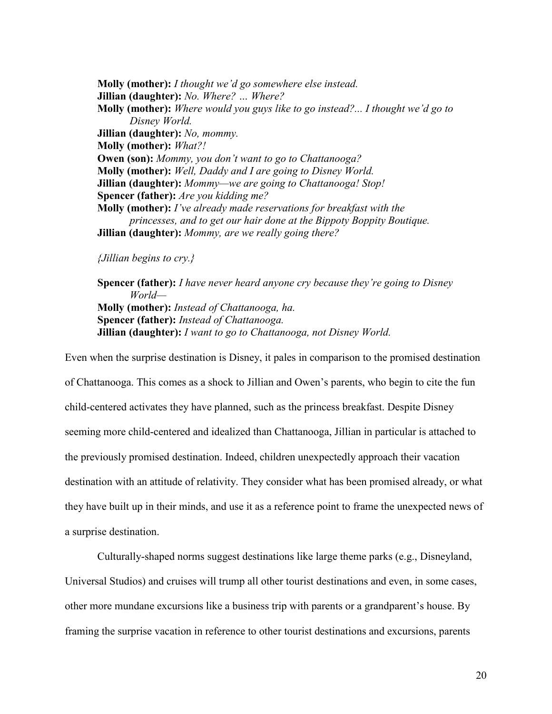**Molly (mother):** *I thought we'd go somewhere else instead.* **Jillian (daughter):** *No. Where? … Where?* **Molly (mother):** *Where would you guys like to go instead?... I thought we'd go to Disney World.* **Jillian (daughter):** *No, mommy.* **Molly (mother):** *What?!* **Owen (son):** *Mommy, you don't want to go to Chattanooga?* **Molly (mother):** *Well, Daddy and I are going to Disney World.* **Jillian (daughter):** *Mommy—we are going to Chattanooga! Stop!* **Spencer (father):** *Are you kidding me?* **Molly (mother):** *I've already made reservations for breakfast with the princesses, and to get our hair done at the Bippoty Boppity Boutique.* **Jillian (daughter):** *Mommy, are we really going there?*

# *{Jillian begins to cry.}*

**Spencer (father):** *I have never heard anyone cry because they're going to Disney World—* **Molly (mother):** *Instead of Chattanooga, ha.* **Spencer (father):** *Instead of Chattanooga.* **Jillian (daughter):** *I want to go to Chattanooga, not Disney World.*

Even when the surprise destination is Disney, it pales in comparison to the promised destination of Chattanooga. This comes as a shock to Jillian and Owen's parents, who begin to cite the fun child-centered activates they have planned, such as the princess breakfast. Despite Disney seeming more child-centered and idealized than Chattanooga, Jillian in particular is attached to the previously promised destination. Indeed, children unexpectedly approach their vacation destination with an attitude of relativity. They consider what has been promised already, or what they have built up in their minds, and use it as a reference point to frame the unexpected news of a surprise destination.

Culturally-shaped norms suggest destinations like large theme parks (e.g., Disneyland, Universal Studios) and cruises will trump all other tourist destinations and even, in some cases, other more mundane excursions like a business trip with parents or a grandparent's house. By framing the surprise vacation in reference to other tourist destinations and excursions, parents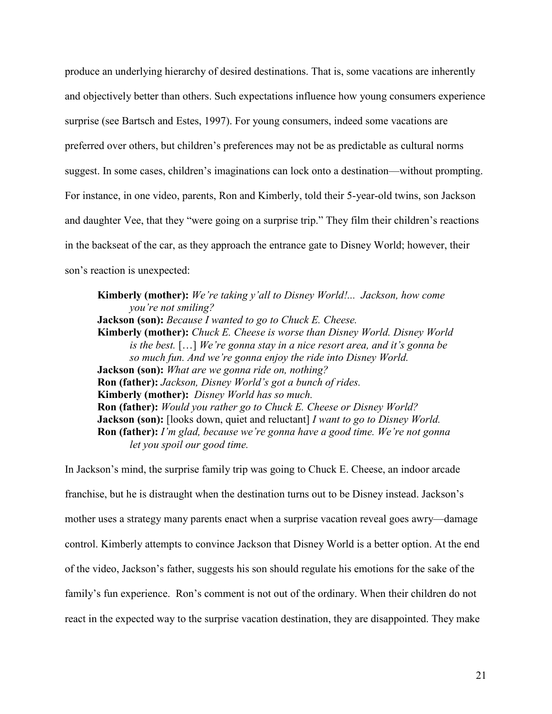produce an underlying hierarchy of desired destinations. That is, some vacations are inherently and objectively better than others. Such expectations influence how young consumers experience surprise (see Bartsch and Estes, 1997). For young consumers, indeed some vacations are preferred over others, but children's preferences may not be as predictable as cultural norms suggest. In some cases, children's imaginations can lock onto a destination—without prompting. For instance, in one video, parents, Ron and Kimberly, told their 5-year-old twins, son Jackson and daughter Vee, that they "were going on a surprise trip." They film their children's reactions in the backseat of the car, as they approach the entrance gate to Disney World; however, their son's reaction is unexpected:

**Kimberly (mother):** *We're taking y'all to Disney World!... Jackson, how come you're not smiling?* **Jackson (son):** *Because I wanted to go to Chuck E. Cheese.* **Kimberly (mother):** *Chuck E. Cheese is worse than Disney World. Disney World is the best.* […] *We're gonna stay in a nice resort area, and it's gonna be so much fun. And we're gonna enjoy the ride into Disney World.* **Jackson (son):** *What are we gonna ride on, nothing?* **Ron (father):** *Jackson, Disney World's got a bunch of rides.* **Kimberly (mother):** *Disney World has so much.* **Ron (father):** *Would you rather go to Chuck E. Cheese or Disney World?* **Jackson (son):** [looks down, quiet and reluctant] *I want to go to Disney World.* **Ron (father):** *I'm glad, because we're gonna have a good time. We're not gonna let you spoil our good time.*

In Jackson's mind, the surprise family trip was going to Chuck E. Cheese, an indoor arcade franchise, but he is distraught when the destination turns out to be Disney instead. Jackson's mother uses a strategy many parents enact when a surprise vacation reveal goes awry—damage control. Kimberly attempts to convince Jackson that Disney World is a better option. At the end of the video, Jackson's father, suggests his son should regulate his emotions for the sake of the family's fun experience. Ron's comment is not out of the ordinary. When their children do not react in the expected way to the surprise vacation destination, they are disappointed. They make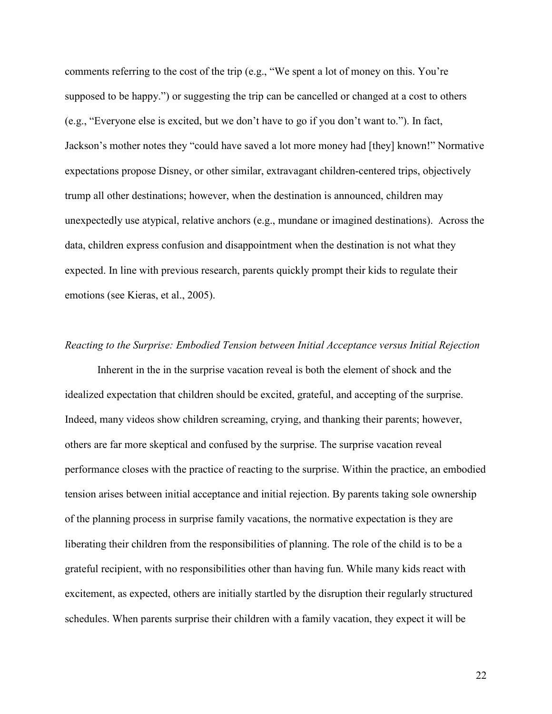comments referring to the cost of the trip (e.g., "We spent a lot of money on this. You're supposed to be happy.") or suggesting the trip can be cancelled or changed at a cost to others (e.g., "Everyone else is excited, but we don't have to go if you don't want to."). In fact, Jackson's mother notes they "could have saved a lot more money had [they] known!" Normative expectations propose Disney, or other similar, extravagant children-centered trips, objectively trump all other destinations; however, when the destination is announced, children may unexpectedly use atypical, relative anchors (e.g., mundane or imagined destinations). Across the data, children express confusion and disappointment when the destination is not what they expected. In line with previous research, parents quickly prompt their kids to regulate their emotions (see Kieras, et al., 2005).

# *Reacting to the Surprise: Embodied Tension between Initial Acceptance versus Initial Rejection*

Inherent in the in the surprise vacation reveal is both the element of shock and the idealized expectation that children should be excited, grateful, and accepting of the surprise. Indeed, many videos show children screaming, crying, and thanking their parents; however, others are far more skeptical and confused by the surprise. The surprise vacation reveal performance closes with the practice of reacting to the surprise. Within the practice, an embodied tension arises between initial acceptance and initial rejection. By parents taking sole ownership of the planning process in surprise family vacations, the normative expectation is they are liberating their children from the responsibilities of planning. The role of the child is to be a grateful recipient, with no responsibilities other than having fun. While many kids react with excitement, as expected, others are initially startled by the disruption their regularly structured schedules. When parents surprise their children with a family vacation, they expect it will be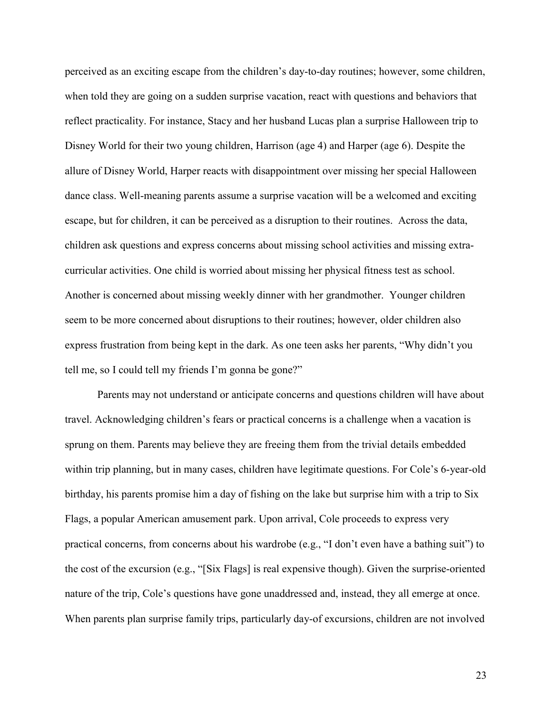perceived as an exciting escape from the children's day-to-day routines; however, some children, when told they are going on a sudden surprise vacation, react with questions and behaviors that reflect practicality. For instance, Stacy and her husband Lucas plan a surprise Halloween trip to Disney World for their two young children, Harrison (age 4) and Harper (age 6). Despite the allure of Disney World, Harper reacts with disappointment over missing her special Halloween dance class. Well-meaning parents assume a surprise vacation will be a welcomed and exciting escape, but for children, it can be perceived as a disruption to their routines. Across the data, children ask questions and express concerns about missing school activities and missing extracurricular activities. One child is worried about missing her physical fitness test as school. Another is concerned about missing weekly dinner with her grandmother. Younger children seem to be more concerned about disruptions to their routines; however, older children also express frustration from being kept in the dark. As one teen asks her parents, "Why didn't you tell me, so I could tell my friends I'm gonna be gone?"

Parents may not understand or anticipate concerns and questions children will have about travel. Acknowledging children's fears or practical concerns is a challenge when a vacation is sprung on them. Parents may believe they are freeing them from the trivial details embedded within trip planning, but in many cases, children have legitimate questions. For Cole's 6-year-old birthday, his parents promise him a day of fishing on the lake but surprise him with a trip to Six Flags, a popular American amusement park. Upon arrival, Cole proceeds to express very practical concerns, from concerns about his wardrobe (e.g., "I don't even have a bathing suit") to the cost of the excursion (e.g., "[Six Flags] is real expensive though). Given the surprise-oriented nature of the trip, Cole's questions have gone unaddressed and, instead, they all emerge at once. When parents plan surprise family trips, particularly day-of excursions, children are not involved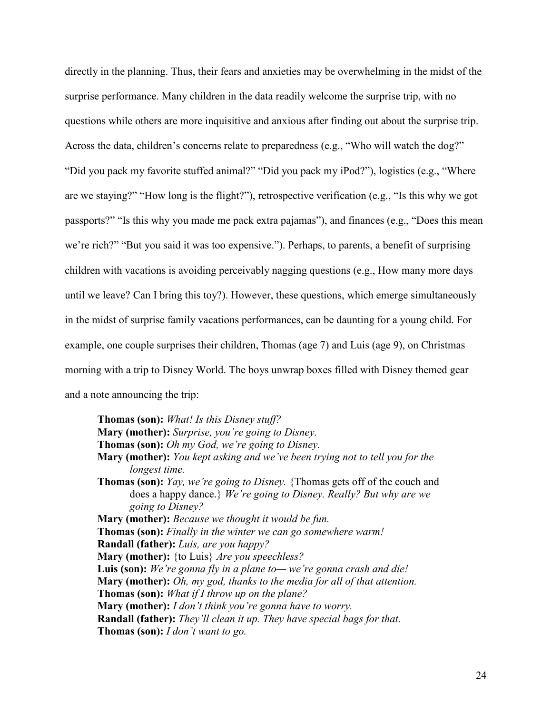directly in the planning. Thus, their fears and anxieties may be overwhelming in the midst of the surprise performance. Many children in the data readily welcome the surprise trip, with no questions while others are more inquisitive and anxious after finding out about the surprise trip. Across the data, children's concerns relate to preparedness (e.g., "Who will watch the dog?" "Did you pack my favorite stuffed animal?" "Did you pack my iPod?"), logistics (e.g., "Where are we staying?" "How long is the flight?"), retrospective verification (e.g., "Is this why we got passports?" "Is this why you made me pack extra pajamas"), and finances (e.g., "Does this mean we're rich?" "But you said it was too expensive."). Perhaps, to parents, a benefit of surprising children with vacations is avoiding perceivably nagging questions (e.g., How many more days until we leave? Can I bring this toy?). However, these questions, which emerge simultaneously in the midst of surprise family vacations performances, can be daunting for a young child. For example, one couple surprises their children, Thomas (age 7) and Luis (age 9), on Christmas morning with a trip to Disney World. The boys unwrap boxes filled with Disney themed gear and a note announcing the trip:

**Thomas (son):** *What! Is this Disney stuff?* **Mary (mother):** *Surprise, you're going to Disney.* **Thomas (son):** *Oh my God, we're going to Disney.* **Mary (mother):** *You kept asking and we've been trying not to tell you for the longest time.* **Thomas (son):** *Yay, we're going to Disney.* {Thomas gets off of the couch and does a happy dance.} *We're going to Disney. Really? But why are we going to Disney?* **Mary (mother):** *Because we thought it would be fun.* **Thomas (son):** *Finally in the winter we can go somewhere warm!* **Randall (father):** *Luis, are you happy?* **Mary (mother):** {to Luis} *Are you speechless?* **Luis (son):** *We're gonna fly in a plane to— we're gonna crash and die!* **Mary (mother):** *Oh, my god, thanks to the media for all of that attention.* **Thomas (son):** *What if I throw up on the plane?* **Mary (mother):** *I don't think you're gonna have to worry.* **Randall (father):** *They'll clean it up. They have special bags for that.* **Thomas (son):** *I don't want to go.*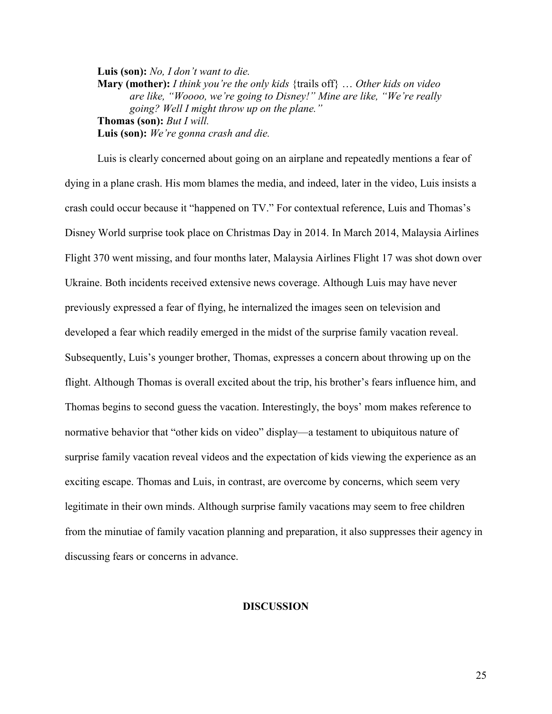**Luis (son):** *No, I don't want to die.* **Mary (mother):** *I think you're the only kids* {trails off} … *Other kids on video are like, "Woooo, we're going to Disney!" Mine are like, "We're really going? Well I might throw up on the plane."* **Thomas (son):** *But I will.* **Luis (son):** *We're gonna crash and die.*

Luis is clearly concerned about going on an airplane and repeatedly mentions a fear of dying in a plane crash. His mom blames the media, and indeed, later in the video, Luis insists a crash could occur because it "happened on TV." For contextual reference, Luis and Thomas's Disney World surprise took place on Christmas Day in 2014. In March 2014, Malaysia Airlines Flight 370 went missing, and four months later, Malaysia Airlines Flight 17 was shot down over Ukraine. Both incidents received extensive news coverage. Although Luis may have never previously expressed a fear of flying, he internalized the images seen on television and developed a fear which readily emerged in the midst of the surprise family vacation reveal. Subsequently, Luis's younger brother, Thomas, expresses a concern about throwing up on the flight. Although Thomas is overall excited about the trip, his brother's fears influence him, and Thomas begins to second guess the vacation. Interestingly, the boys' mom makes reference to normative behavior that "other kids on video" display—a testament to ubiquitous nature of surprise family vacation reveal videos and the expectation of kids viewing the experience as an exciting escape. Thomas and Luis, in contrast, are overcome by concerns, which seem very legitimate in their own minds. Although surprise family vacations may seem to free children from the minutiae of family vacation planning and preparation, it also suppresses their agency in discussing fears or concerns in advance.

# **DISCUSSION**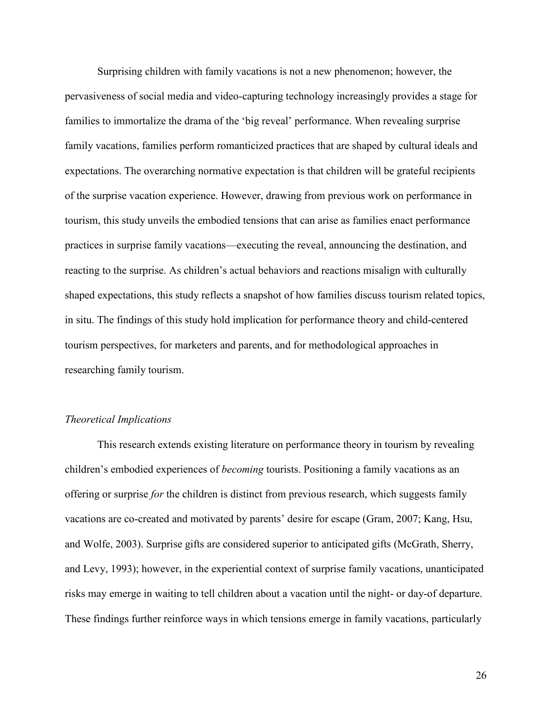Surprising children with family vacations is not a new phenomenon; however, the pervasiveness of social media and video-capturing technology increasingly provides a stage for families to immortalize the drama of the 'big reveal' performance. When revealing surprise family vacations, families perform romanticized practices that are shaped by cultural ideals and expectations. The overarching normative expectation is that children will be grateful recipients of the surprise vacation experience. However, drawing from previous work on performance in tourism, this study unveils the embodied tensions that can arise as families enact performance practices in surprise family vacations—executing the reveal, announcing the destination, and reacting to the surprise. As children's actual behaviors and reactions misalign with culturally shaped expectations, this study reflects a snapshot of how families discuss tourism related topics, in situ. The findings of this study hold implication for performance theory and child-centered tourism perspectives, for marketers and parents, and for methodological approaches in researching family tourism.

#### *Theoretical Implications*

This research extends existing literature on performance theory in tourism by revealing children's embodied experiences of *becoming* tourists. Positioning a family vacations as an offering or surprise *for* the children is distinct from previous research, which suggests family vacations are co-created and motivated by parents' desire for escape (Gram, 2007; Kang, Hsu, and Wolfe, 2003). Surprise gifts are considered superior to anticipated gifts (McGrath, Sherry, and Levy, 1993); however, in the experiential context of surprise family vacations, unanticipated risks may emerge in waiting to tell children about a vacation until the night- or day-of departure. These findings further reinforce ways in which tensions emerge in family vacations, particularly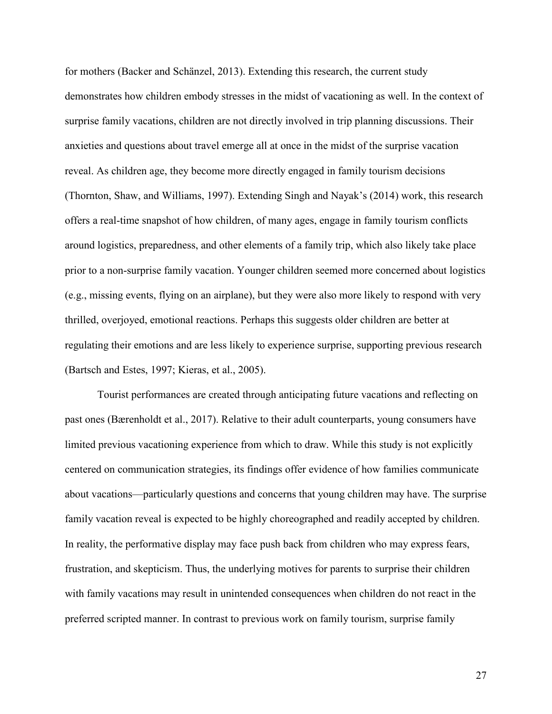for mothers (Backer and Schänzel, 2013). Extending this research, the current study demonstrates how children embody stresses in the midst of vacationing as well. In the context of surprise family vacations, children are not directly involved in trip planning discussions. Their anxieties and questions about travel emerge all at once in the midst of the surprise vacation reveal. As children age, they become more directly engaged in family tourism decisions (Thornton, Shaw, and Williams, 1997). Extending Singh and Nayak's (2014) work, this research offers a real-time snapshot of how children, of many ages, engage in family tourism conflicts around logistics, preparedness, and other elements of a family trip, which also likely take place prior to a non-surprise family vacation. Younger children seemed more concerned about logistics (e.g., missing events, flying on an airplane), but they were also more likely to respond with very thrilled, overjoyed, emotional reactions. Perhaps this suggests older children are better at regulating their emotions and are less likely to experience surprise, supporting previous research (Bartsch and Estes, 1997; Kieras, et al., 2005).

Tourist performances are created through anticipating future vacations and reflecting on past ones (Bærenholdt et al., 2017). Relative to their adult counterparts, young consumers have limited previous vacationing experience from which to draw. While this study is not explicitly centered on communication strategies, its findings offer evidence of how families communicate about vacations—particularly questions and concerns that young children may have. The surprise family vacation reveal is expected to be highly choreographed and readily accepted by children. In reality, the performative display may face push back from children who may express fears, frustration, and skepticism. Thus, the underlying motives for parents to surprise their children with family vacations may result in unintended consequences when children do not react in the preferred scripted manner. In contrast to previous work on family tourism, surprise family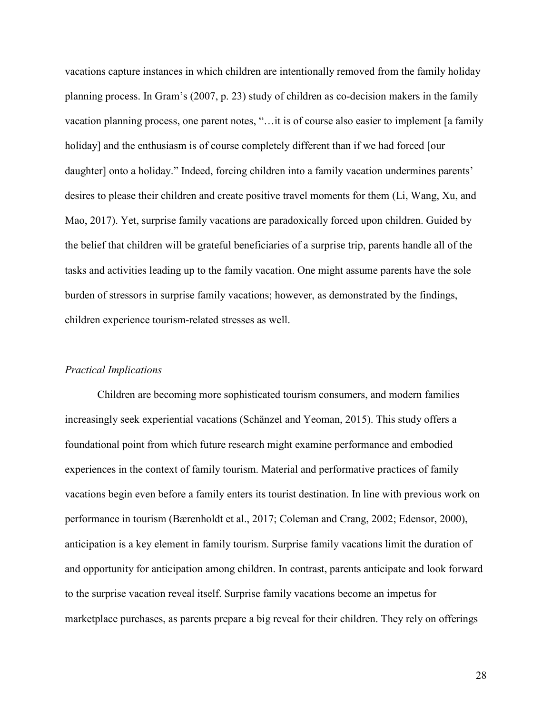vacations capture instances in which children are intentionally removed from the family holiday planning process. In Gram's (2007, p. 23) study of children as co-decision makers in the family vacation planning process, one parent notes, "…it is of course also easier to implement [a family holiday] and the enthusiasm is of course completely different than if we had forced [our daughter] onto a holiday." Indeed, forcing children into a family vacation undermines parents' desires to please their children and create positive travel moments for them (Li, Wang, Xu, and Mao, 2017). Yet, surprise family vacations are paradoxically forced upon children. Guided by the belief that children will be grateful beneficiaries of a surprise trip, parents handle all of the tasks and activities leading up to the family vacation. One might assume parents have the sole burden of stressors in surprise family vacations; however, as demonstrated by the findings, children experience tourism-related stresses as well.

# *Practical Implications*

Children are becoming more sophisticated tourism consumers, and modern families increasingly seek experiential vacations (Schänzel and Yeoman, 2015). This study offers a foundational point from which future research might examine performance and embodied experiences in the context of family tourism. Material and performative practices of family vacations begin even before a family enters its tourist destination. In line with previous work on performance in tourism (Bærenholdt et al., 2017; Coleman and Crang, 2002; Edensor, 2000), anticipation is a key element in family tourism. Surprise family vacations limit the duration of and opportunity for anticipation among children. In contrast, parents anticipate and look forward to the surprise vacation reveal itself. Surprise family vacations become an impetus for marketplace purchases, as parents prepare a big reveal for their children. They rely on offerings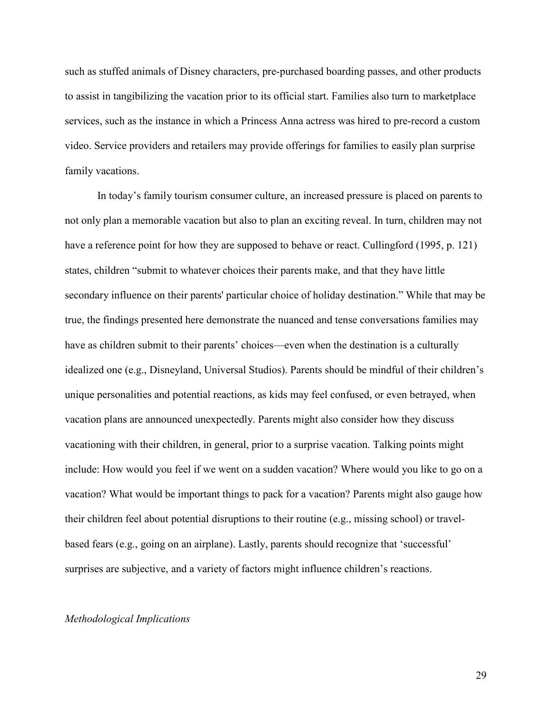such as stuffed animals of Disney characters, pre-purchased boarding passes, and other products to assist in tangibilizing the vacation prior to its official start. Families also turn to marketplace services, such as the instance in which a Princess Anna actress was hired to pre-record a custom video. Service providers and retailers may provide offerings for families to easily plan surprise family vacations.

In today's family tourism consumer culture, an increased pressure is placed on parents to not only plan a memorable vacation but also to plan an exciting reveal. In turn, children may not have a reference point for how they are supposed to behave or react. Cullingford (1995, p. 121) states, children "submit to whatever choices their parents make, and that they have little secondary influence on their parents' particular choice of holiday destination." While that may be true, the findings presented here demonstrate the nuanced and tense conversations families may have as children submit to their parents' choices—even when the destination is a culturally idealized one (e.g., Disneyland, Universal Studios). Parents should be mindful of their children's unique personalities and potential reactions, as kids may feel confused, or even betrayed, when vacation plans are announced unexpectedly. Parents might also consider how they discuss vacationing with their children, in general, prior to a surprise vacation. Talking points might include: How would you feel if we went on a sudden vacation? Where would you like to go on a vacation? What would be important things to pack for a vacation? Parents might also gauge how their children feel about potential disruptions to their routine (e.g., missing school) or travelbased fears (e.g., going on an airplane). Lastly, parents should recognize that 'successful' surprises are subjective, and a variety of factors might influence children's reactions.

# *Methodological Implications*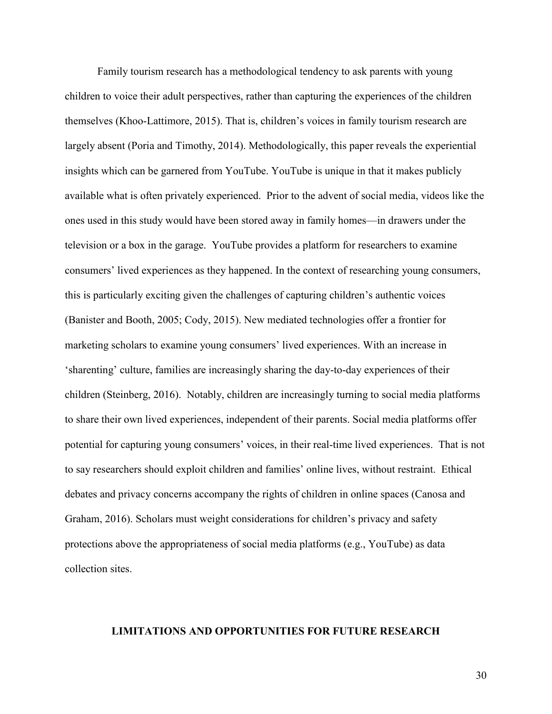Family tourism research has a methodological tendency to ask parents with young children to voice their adult perspectives, rather than capturing the experiences of the children themselves (Khoo-Lattimore, 2015). That is, children's voices in family tourism research are largely absent (Poria and Timothy, 2014). Methodologically, this paper reveals the experiential insights which can be garnered from YouTube. YouTube is unique in that it makes publicly available what is often privately experienced. Prior to the advent of social media, videos like the ones used in this study would have been stored away in family homes—in drawers under the television or a box in the garage. YouTube provides a platform for researchers to examine consumers' lived experiences as they happened. In the context of researching young consumers, this is particularly exciting given the challenges of capturing children's authentic voices (Banister and Booth, 2005; Cody, 2015). New mediated technologies offer a frontier for marketing scholars to examine young consumers' lived experiences. With an increase in 'sharenting' culture, families are increasingly sharing the day-to-day experiences of their children (Steinberg, 2016). Notably, children are increasingly turning to social media platforms to share their own lived experiences, independent of their parents. Social media platforms offer potential for capturing young consumers' voices, in their real-time lived experiences. That is not to say researchers should exploit children and families' online lives, without restraint. Ethical debates and privacy concerns accompany the rights of children in online spaces (Canosa and Graham, 2016). Scholars must weight considerations for children's privacy and safety protections above the appropriateness of social media platforms (e.g., YouTube) as data collection sites.

# **LIMITATIONS AND OPPORTUNITIES FOR FUTURE RESEARCH**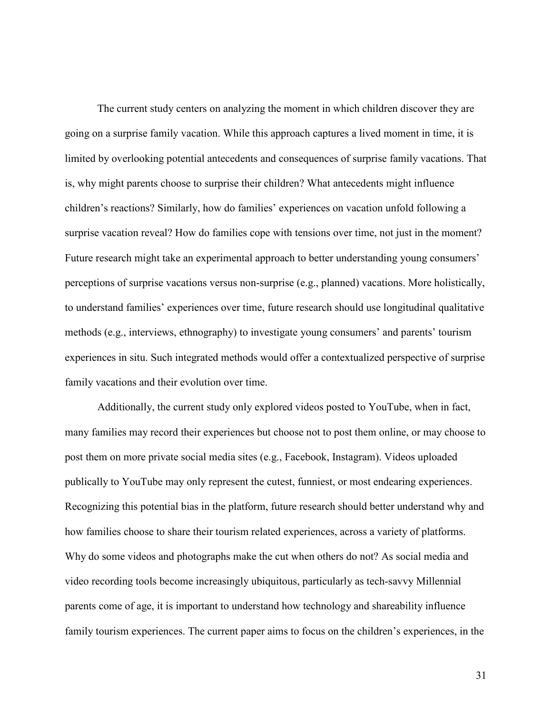The current study centers on analyzing the moment in which children discover they are going on a surprise family vacation. While this approach captures a lived moment in time, it is limited by overlooking potential antecedents and consequences of surprise family vacations. That is, why might parents choose to surprise their children? What antecedents might influence children's reactions? Similarly, how do families' experiences on vacation unfold following a surprise vacation reveal? How do families cope with tensions over time, not just in the moment? Future research might take an experimental approach to better understanding young consumers' perceptions of surprise vacations versus non-surprise (e.g., planned) vacations. More holistically, to understand families' experiences over time, future research should use longitudinal qualitative methods (e.g., interviews, ethnography) to investigate young consumers' and parents' tourism experiences in situ. Such integrated methods would offer a contextualized perspective of surprise family vacations and their evolution over time.

Additionally, the current study only explored videos posted to YouTube, when in fact, many families may record their experiences but choose not to post them online, or may choose to post them on more private social media sites (e.g., Facebook, Instagram). Videos uploaded publically to YouTube may only represent the cutest, funniest, or most endearing experiences. Recognizing this potential bias in the platform, future research should better understand why and how families choose to share their tourism related experiences, across a variety of platforms. Why do some videos and photographs make the cut when others do not? As social media and video recording tools become increasingly ubiquitous, particularly as tech-savvy Millennial parents come of age, it is important to understand how technology and shareability influence family tourism experiences. The current paper aims to focus on the children's experiences, in the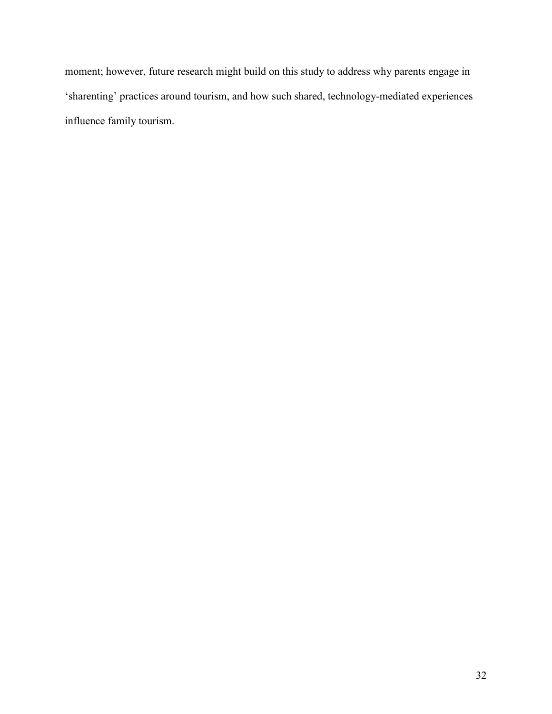moment; however, future research might build on this study to address why parents engage in 'sharenting' practices around tourism, and how such shared, technology-mediated experiences influence family tourism.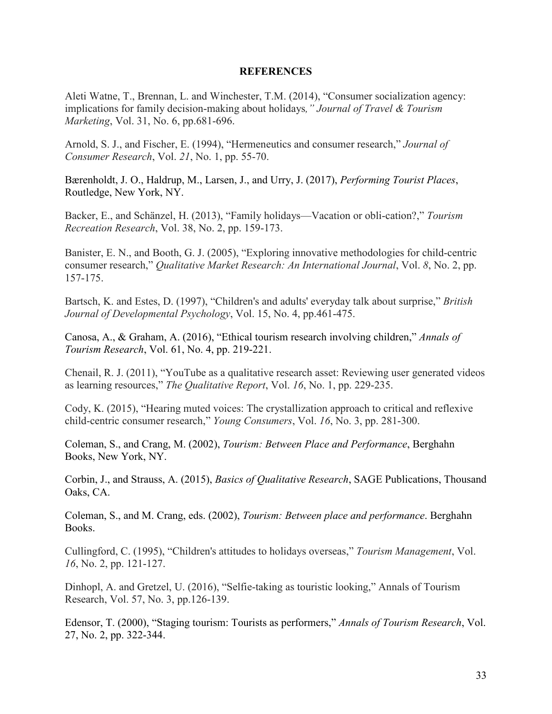# **REFERENCES**

Aleti Watne, T., Brennan, L. and Winchester, T.M. (2014), "Consumer socialization agency: implications for family decision-making about holidays*," Journal of Travel & Tourism Marketing*, Vol. 31, No. 6, pp.681-696.

Arnold, S. J., and Fischer, E. (1994), "Hermeneutics and consumer research," *Journal of Consumer Research*, Vol. *21*, No. 1, pp. 55-70.

Bærenholdt, J. O., Haldrup, M., Larsen, J., and Urry, J. (2017), *Performing Tourist Places*, Routledge, New York, NY.

Backer, E., and Schänzel, H. (2013), "Family holidays—Vacation or obli-cation?," *Tourism Recreation Research*, Vol. 38, No. 2, pp. 159-173.

Banister, E. N., and Booth, G. J. (2005), "Exploring innovative methodologies for child-centric consumer research," *Qualitative Market Research: An International Journal*, Vol. *8*, No. 2, pp. 157-175.

Bartsch, K. and Estes, D. (1997), "Children's and adults' everyday talk about surprise," *British Journal of Developmental Psychology*, Vol. 15, No. 4, pp.461-475.

Canosa, A., & Graham, A. (2016), "Ethical tourism research involving children," *Annals of Tourism Research*, Vol. 61, No. 4, pp. 219-221.

Chenail, R. J. (2011), "YouTube as a qualitative research asset: Reviewing user generated videos as learning resources," *The Qualitative Report*, Vol. *16*, No. 1, pp. 229-235.

Cody, K. (2015), "Hearing muted voices: The crystallization approach to critical and reflexive child-centric consumer research," *Young Consumers*, Vol. *16*, No. 3, pp. 281-300.

Coleman, S., and Crang, M. (2002), *Tourism: Between Place and Performance*, Berghahn Books, New York, NY.

Corbin, J., and Strauss, A. (2015), *Basics of Qualitative Research*, SAGE Publications, Thousand Oaks, CA.

Coleman, S., and M. Crang, eds. (2002), *Tourism: Between place and performance*. Berghahn Books.

Cullingford, C. (1995), "Children's attitudes to holidays overseas," *Tourism Management*, Vol. *16*, No. 2, pp. 121-127.

Dinhopl, A. and Gretzel, U. (2016), "Selfie-taking as touristic looking," Annals of Tourism Research, Vol. 57, No. 3, pp.126-139.

Edensor, T. (2000), "Staging tourism: Tourists as performers," *Annals of Tourism Research*, Vol. 27, No. 2, pp. 322-344.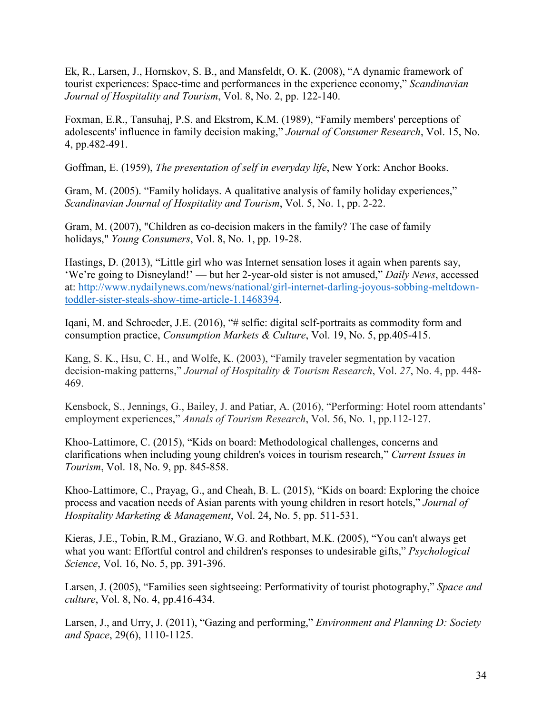Ek, R., Larsen, J., Hornskov, S. B., and Mansfeldt, O. K. (2008), "A dynamic framework of tourist experiences: Space-time and performances in the experience economy," *Scandinavian Journal of Hospitality and Tourism*, Vol. 8, No. 2, pp. 122-140.

Foxman, E.R., Tansuhaj, P.S. and Ekstrom, K.M. (1989), "Family members' perceptions of adolescents' influence in family decision making," *Journal of Consumer Research*, Vol. 15, No. 4, pp.482-491.

Goffman, E. (1959), *The presentation of self in everyday life*, New York: Anchor Books.

Gram, M. (2005). "Family holidays. A qualitative analysis of family holiday experiences," *Scandinavian Journal of Hospitality and Tourism*, Vol. 5, No. 1, pp. 2-22.

Gram, M. (2007), "Children as co-decision makers in the family? The case of family holidays," *Young Consumers*, Vol. 8, No. 1, pp. 19-28.

Hastings, D. (2013), "Little girl who was Internet sensation loses it again when parents say, 'We're going to Disneyland!' — but her 2-year-old sister is not amused," *Daily News*, accessed at: [http://www.nydailynews.com/news/national/girl-internet-darling-joyous-sobbing-meltdown](http://www.nydailynews.com/news/national/girl-internet-darling-joyous-sobbing-meltdown-toddler-sister-steals-show-time-article-1.1468394)[toddler-sister-steals-show-time-article-1.1468394.](http://www.nydailynews.com/news/national/girl-internet-darling-joyous-sobbing-meltdown-toddler-sister-steals-show-time-article-1.1468394)

Iqani, M. and Schroeder, J.E. (2016), "# selfie: digital self-portraits as commodity form and consumption practice, *Consumption Markets & Culture*, Vol. 19, No. 5, pp.405-415.

Kang, S. K., Hsu, C. H., and Wolfe, K. (2003), "Family traveler segmentation by vacation decision-making patterns," *Journal of Hospitality & Tourism Research*, Vol. *27*, No. 4, pp. 448- 469.

Kensbock, S., Jennings, G., Bailey, J. and Patiar, A. (2016), "Performing: Hotel room attendants' employment experiences," *Annals of Tourism Research*, Vol. 56, No. 1, pp.112-127.

Khoo-Lattimore, C. (2015), "Kids on board: Methodological challenges, concerns and clarifications when including young children's voices in tourism research," *Current Issues in Tourism*, Vol. 18, No. 9, pp. 845-858.

Khoo-Lattimore, C., Prayag, G., and Cheah, B. L. (2015), "Kids on board: Exploring the choice process and vacation needs of Asian parents with young children in resort hotels," *Journal of Hospitality Marketing & Management*, Vol. 24, No. 5, pp. 511-531.

Kieras, J.E., Tobin, R.M., Graziano, W.G. and Rothbart, M.K. (2005), "You can't always get what you want: Effortful control and children's responses to undesirable gifts," *Psychological Science*, Vol. 16, No. 5, pp. 391-396.

Larsen, J. (2005), "Families seen sightseeing: Performativity of tourist photography," *Space and culture*, Vol. 8, No. 4, pp.416-434.

Larsen, J., and Urry, J. (2011), "Gazing and performing," *Environment and Planning D: Society and Space*, 29(6), 1110-1125.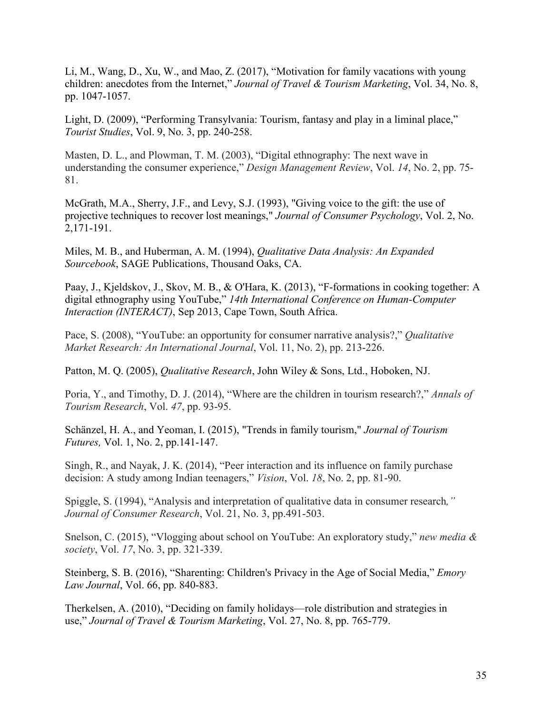Li, M., Wang, D., Xu, W., and Mao, Z. (2017), "Motivation for family vacations with young children: anecdotes from the Internet," *Journal of Travel & Tourism Marketing*, Vol. 34, No. 8, pp. 1047-1057.

Light, D. (2009), "Performing Transylvania: Tourism, fantasy and play in a liminal place," *Tourist Studies*, Vol. 9, No. 3, pp. 240-258.

Masten, D. L., and Plowman, T. M. (2003), "Digital ethnography: The next wave in understanding the consumer experience," *Design Management Review*, Vol. *14*, No. 2, pp. 75- 81.

McGrath, M.A., Sherry, J.F., and Levy, S.J. (1993), "Giving voice to the gift: the use of projective techniques to recover lost meanings," *Journal of Consumer Psychology*, Vol. 2, No. 2,171-191.

Miles, M. B., and Huberman, A. M. (1994), *Qualitative Data Analysis: An Expanded Sourcebook*, SAGE Publications, Thousand Oaks, CA.

Paay, J., Kjeldskov, J., Skov, M. B., & O'Hara, K. (2013), "F-formations in cooking together: A digital ethnography using YouTube," *14th International Conference on Human-Computer Interaction (INTERACT)*, Sep 2013, Cape Town, South Africa.

Pace, S. (2008), "YouTube: an opportunity for consumer narrative analysis?," *Qualitative Market Research: An International Journal*, Vol. 11, No. 2), pp. 213-226.

Patton, M. Q. (2005), *Qualitative Research*, John Wiley & Sons, Ltd., Hoboken, NJ.

Poria, Y., and Timothy, D. J. (2014), "Where are the children in tourism research?," *Annals of Tourism Research*, Vol. *47*, pp. 93-95.

Schänzel, H. A., and Yeoman, I. (2015), "Trends in family tourism," *Journal of Tourism Futures,* Vol. 1, No. 2, pp.141-147.

Singh, R., and Nayak, J. K. (2014), "Peer interaction and its influence on family purchase decision: A study among Indian teenagers," *Vision*, Vol. *18*, No. 2, pp. 81-90.

Spiggle, S. (1994), "Analysis and interpretation of qualitative data in consumer research*," Journal of Consumer Research*, Vol. 21, No. 3, pp.491-503.

Snelson, C. (2015), "Vlogging about school on YouTube: An exploratory study," *new media & society*, Vol. *17*, No. 3, pp. 321-339.

Steinberg, S. B. (2016), "Sharenting: Children's Privacy in the Age of Social Media," *Emory Law Journal*, Vol. 66, pp. 840-883.

Therkelsen, A. (2010), "Deciding on family holidays—role distribution and strategies in use," *Journal of Travel & Tourism Marketing*, Vol. 27, No. 8, pp. 765-779.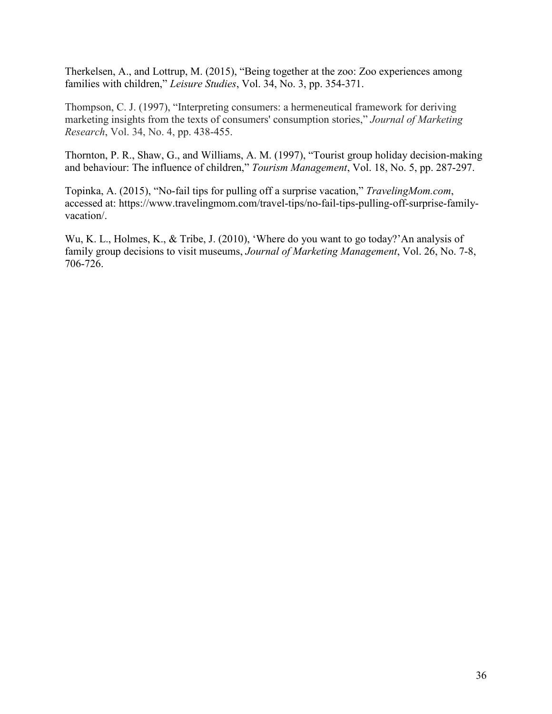Therkelsen, A., and Lottrup, M. (2015), "Being together at the zoo: Zoo experiences among families with children," *Leisure Studies*, Vol. 34, No. 3, pp. 354-371.

Thompson, C. J. (1997), "Interpreting consumers: a hermeneutical framework for deriving marketing insights from the texts of consumers' consumption stories," *Journal of Marketing Research*, Vol. 34, No. 4, pp. 438-455.

Thornton, P. R., Shaw, G., and Williams, A. M. (1997), "Tourist group holiday decision-making and behaviour: The influence of children," *Tourism Management*, Vol. 18, No. 5, pp. 287-297.

Topinka, A. (2015), "No-fail tips for pulling off a surprise vacation," *TravelingMom.com*, accessed at: https://www.travelingmom.com/travel-tips/no-fail-tips-pulling-off-surprise-familyvacation/.

Wu, K. L., Holmes, K., & Tribe, J. (2010), 'Where do you want to go today?'An analysis of family group decisions to visit museums, *Journal of Marketing Management*, Vol. 26, No. 7-8, 706-726.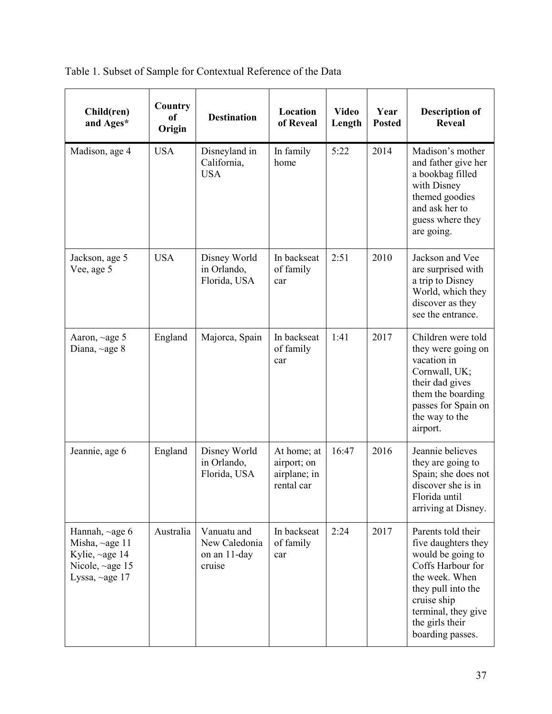| Child(ren)<br>and Ages*                                                                                   | Country<br>of<br>Origin | <b>Destination</b>                                     | Location<br>of Reveal                                    | <b>Video</b><br>Length | Year<br><b>Posted</b> | <b>Description of</b><br><b>Reveal</b>                                                                                                                                                                   |
|-----------------------------------------------------------------------------------------------------------|-------------------------|--------------------------------------------------------|----------------------------------------------------------|------------------------|-----------------------|----------------------------------------------------------------------------------------------------------------------------------------------------------------------------------------------------------|
| Madison, age 4                                                                                            | <b>USA</b>              | Disneyland in<br>California,<br><b>USA</b>             | In family<br>home                                        | 5:22                   | 2014                  | Madison's mother<br>and father give her<br>a bookbag filled<br>with Disney<br>themed goodies<br>and ask her to<br>guess where they<br>are going.                                                         |
| Jackson, age 5<br>Vee, age 5                                                                              | <b>USA</b>              | Disney World<br>in Orlando,<br>Florida, USA            | In backseat<br>of family<br>car                          | 2:51                   | 2010                  | Jackson and Vee<br>are surprised with<br>a trip to Disney<br>World, which they<br>discover as they<br>see the entrance.                                                                                  |
| Aaron, ~age 5<br>Diana, $\sim$ age 8                                                                      | England                 | Majorca, Spain                                         | In backseat<br>of family<br>car                          | 1:41                   | 2017                  | Children were told<br>they were going on<br>vacation in<br>Cornwall, UK;<br>their dad gives<br>them the boarding<br>passes for Spain on<br>the way to the<br>airport.                                    |
| Jeannie, age 6                                                                                            | England                 | Disney World<br>in Orlando,<br>Florida, USA            | At home; at<br>airport; on<br>airplane; in<br>rental car | 16:47                  | 2016                  | Jeannie believes<br>they are going to<br>Spain; she does not<br>discover she is in<br>Florida until<br>arriving at Disney.                                                                               |
| Hannah, $\sim$ age 6<br>Misha, $\sim$ age 11<br>Kylie, ~age 14<br>Nicole, $\sim$ age 15<br>Lyssa, ~age 17 | Australia               | Vanuatu and<br>New Caledonia<br>on an 11-day<br>cruise | In backseat<br>of family<br>car                          | 2:24                   | 2017                  | Parents told their<br>five daughters they<br>would be going to<br>Coffs Harbour for<br>the week. When<br>they pull into the<br>cruise ship<br>terminal, they give<br>the girls their<br>boarding passes. |

Table 1. Subset of Sample for Contextual Reference of the Data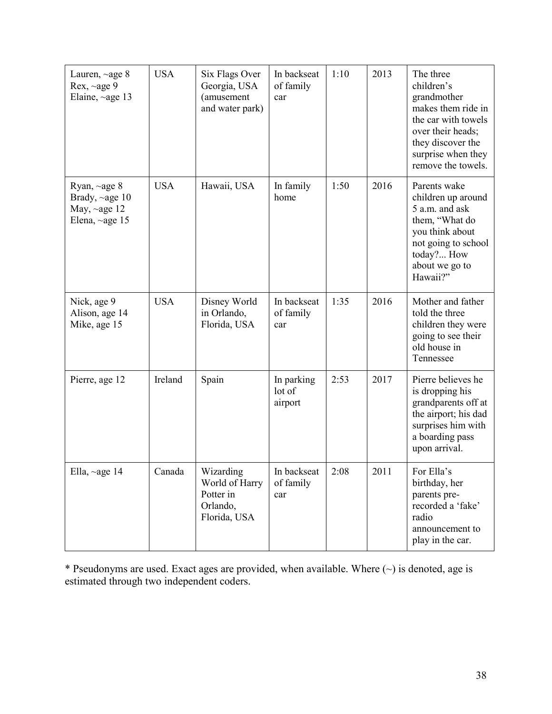| Lauren, $\sim$ age 8<br>Rex, $\sim$ age 9<br>Elaine, $\sim$ age 13                 | <b>USA</b> | Six Flags Over<br>Georgia, USA<br>(amusement<br>and water park)      | In backseat<br>of family<br>car | 1:10 | 2013 | The three<br>children's<br>grandmother<br>makes them ride in<br>the car with towels<br>over their heads;<br>they discover the<br>surprise when they<br>remove the towels. |
|------------------------------------------------------------------------------------|------------|----------------------------------------------------------------------|---------------------------------|------|------|---------------------------------------------------------------------------------------------------------------------------------------------------------------------------|
| Ryan, ~age 8<br>Brady, $\sim$ age 10<br>May, $\sim$ age 12<br>Elena, $\sim$ age 15 | <b>USA</b> | Hawaii, USA                                                          | In family<br>home               | 1:50 | 2016 | Parents wake<br>children up around<br>5 a.m. and ask<br>them, "What do<br>you think about<br>not going to school<br>today? How<br>about we go to<br>Hawaii?"              |
| Nick, age 9<br>Alison, age 14<br>Mike, age 15                                      | <b>USA</b> | Disney World<br>in Orlando,<br>Florida, USA                          | In backseat<br>of family<br>car | 1:35 | 2016 | Mother and father<br>told the three<br>children they were<br>going to see their<br>old house in<br>Tennessee                                                              |
| Pierre, age 12                                                                     | Ireland    | Spain                                                                | In parking<br>lot of<br>airport | 2:53 | 2017 | Pierre believes he<br>is dropping his<br>grandparents off at<br>the airport; his dad<br>surprises him with<br>a boarding pass<br>upon arrival.                            |
| Ella, ~age 14                                                                      | Canada     | Wizarding<br>World of Harry<br>Potter in<br>Orlando,<br>Florida, USA | In backseat<br>of family<br>car | 2:08 | 2011 | For Ella's<br>birthday, her<br>parents pre-<br>recorded a 'fake'<br>radio<br>announcement to<br>play in the car.                                                          |

\* Pseudonyms are used. Exact ages are provided, when available. Where  $(\sim)$  is denoted, age is estimated through two independent coders.